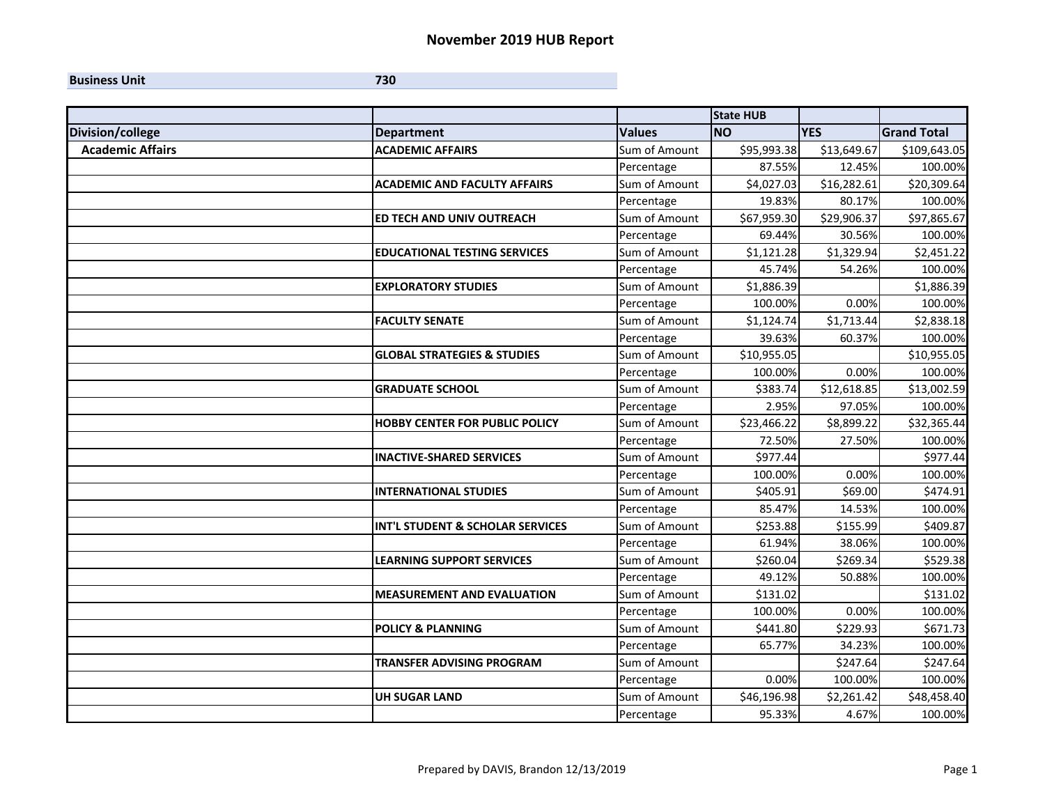## **November 2019 HUB Report**

## **Business Unit 730**

|                         |                                        |               | <b>State HUB</b> |             |                    |
|-------------------------|----------------------------------------|---------------|------------------|-------------|--------------------|
| Division/college        | <b>Department</b>                      | <b>Values</b> | <b>NO</b>        | <b>YES</b>  | <b>Grand Total</b> |
| <b>Academic Affairs</b> | <b>ACADEMIC AFFAIRS</b>                | Sum of Amount | \$95,993.38      | \$13,649.67 | \$109,643.05       |
|                         |                                        | Percentage    | 87.55%           | 12.45%      | 100.00%            |
|                         | <b>ACADEMIC AND FACULTY AFFAIRS</b>    | Sum of Amount | \$4,027.03       | \$16,282.61 | \$20,309.64        |
|                         |                                        | Percentage    | 19.83%           | 80.17%      | 100.00%            |
|                         | <b>ED TECH AND UNIV OUTREACH</b>       | Sum of Amount | \$67,959.30      | \$29,906.37 | \$97,865.67        |
|                         |                                        | Percentage    | 69.44%           | 30.56%      | 100.00%            |
|                         | <b>EDUCATIONAL TESTING SERVICES</b>    | Sum of Amount | \$1,121.28       | \$1,329.94  | \$2,451.22         |
|                         |                                        | Percentage    | 45.74%           | 54.26%      | 100.00%            |
|                         | <b>EXPLORATORY STUDIES</b>             | Sum of Amount | \$1,886.39       |             | \$1,886.39         |
|                         |                                        | Percentage    | 100.00%          | 0.00%       | 100.00%            |
|                         | <b>FACULTY SENATE</b>                  | Sum of Amount | \$1,124.74       | \$1,713.44  | \$2,838.18         |
|                         |                                        | Percentage    | 39.63%           | 60.37%      | 100.00%            |
|                         | <b>GLOBAL STRATEGIES &amp; STUDIES</b> | Sum of Amount | \$10,955.05      |             | \$10,955.05        |
|                         |                                        | Percentage    | 100.00%          | 0.00%       | 100.00%            |
|                         | <b>GRADUATE SCHOOL</b>                 | Sum of Amount | \$383.74         | \$12,618.85 | \$13,002.59        |
|                         |                                        | Percentage    | 2.95%            | 97.05%      | 100.00%            |
|                         | <b>HOBBY CENTER FOR PUBLIC POLICY</b>  | Sum of Amount | \$23,466.22      | \$8,899.22  | \$32,365.44        |
|                         |                                        | Percentage    | 72.50%           | 27.50%      | 100.00%            |
|                         | <b>INACTIVE-SHARED SERVICES</b>        | Sum of Amount | \$977.44         |             | \$977.44           |
|                         |                                        | Percentage    | 100.00%          | 0.00%       | 100.00%            |
|                         | <b>INTERNATIONAL STUDIES</b>           | Sum of Amount | \$405.91         | \$69.00     | \$474.91           |
|                         |                                        | Percentage    | 85.47%           | 14.53%      | 100.00%            |
|                         | INT'L STUDENT & SCHOLAR SERVICES       | Sum of Amount | \$253.88         | \$155.99    | \$409.87           |
|                         |                                        | Percentage    | 61.94%           | 38.06%      | 100.00%            |
|                         | <b>LEARNING SUPPORT SERVICES</b>       | Sum of Amount | \$260.04         | \$269.34    | \$529.38           |
|                         |                                        | Percentage    | 49.12%           | 50.88%      | 100.00%            |
|                         | <b>MEASUREMENT AND EVALUATION</b>      | Sum of Amount | \$131.02         |             | \$131.02           |
|                         |                                        | Percentage    | 100.00%          | 0.00%       | 100.00%            |
|                         | <b>POLICY &amp; PLANNING</b>           | Sum of Amount | \$441.80         | \$229.93    | \$671.73           |
|                         |                                        | Percentage    | 65.77%           | 34.23%      | 100.00%            |
|                         | <b>TRANSFER ADVISING PROGRAM</b>       | Sum of Amount |                  | \$247.64    | \$247.64           |
|                         |                                        | Percentage    | 0.00%            | 100.00%     | 100.00%            |
|                         | <b>UH SUGAR LAND</b>                   | Sum of Amount | \$46,196.98      | \$2,261.42  | \$48,458.40        |
|                         |                                        | Percentage    | 95.33%           | 4.67%       | 100.00%            |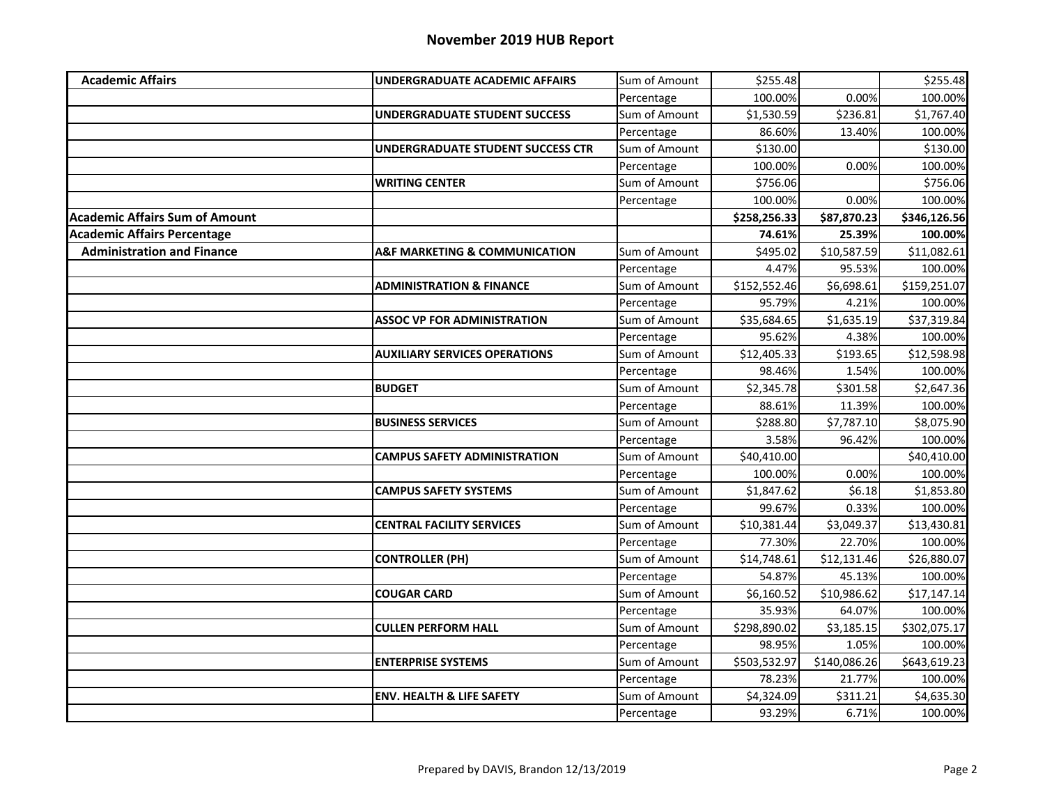| <b>Academic Affairs</b>               | UNDERGRADUATE ACADEMIC AFFAIRS               | Sum of Amount | \$255.48     |              | \$255.48     |
|---------------------------------------|----------------------------------------------|---------------|--------------|--------------|--------------|
|                                       |                                              | Percentage    | 100.00%      | 0.00%        | 100.00%      |
|                                       | UNDERGRADUATE STUDENT SUCCESS                | Sum of Amount | \$1,530.59   | \$236.81     | \$1,767.40   |
|                                       |                                              | Percentage    | 86.60%       | 13.40%       | 100.00%      |
|                                       | UNDERGRADUATE STUDENT SUCCESS CTR            | Sum of Amount | \$130.00     |              | \$130.00     |
|                                       |                                              | Percentage    | 100.00%      | 0.00%        | 100.00%      |
|                                       | <b>WRITING CENTER</b>                        | Sum of Amount | \$756.06     |              | \$756.06     |
|                                       |                                              | Percentage    | 100.00%      | 0.00%        | 100.00%      |
| <b>Academic Affairs Sum of Amount</b> |                                              |               | \$258,256.33 | \$87,870.23  | \$346,126.56 |
| <b>Academic Affairs Percentage</b>    |                                              |               | 74.61%       | 25.39%       | 100.00%      |
| <b>Administration and Finance</b>     | <b>A&amp;F MARKETING &amp; COMMUNICATION</b> | Sum of Amount | \$495.02     | \$10,587.59  | \$11,082.61  |
|                                       |                                              | Percentage    | 4.47%        | 95.53%       | 100.00%      |
|                                       | <b>ADMINISTRATION &amp; FINANCE</b>          | Sum of Amount | \$152,552.46 | \$6,698.61   | \$159,251.07 |
|                                       |                                              | Percentage    | 95.79%       | 4.21%        | 100.00%      |
|                                       | <b>ASSOC VP FOR ADMINISTRATION</b>           | Sum of Amount | \$35,684.65  | \$1,635.19   | \$37,319.84  |
|                                       |                                              | Percentage    | 95.62%       | 4.38%        | 100.00%      |
|                                       | <b>AUXILIARY SERVICES OPERATIONS</b>         | Sum of Amount | \$12,405.33  | \$193.65     | \$12,598.98  |
|                                       |                                              | Percentage    | 98.46%       | 1.54%        | 100.00%      |
|                                       | <b>BUDGET</b>                                | Sum of Amount | \$2,345.78   | \$301.58     | \$2,647.36   |
|                                       |                                              | Percentage    | 88.61%       | 11.39%       | 100.00%      |
|                                       | <b>BUSINESS SERVICES</b>                     | Sum of Amount | \$288.80     | \$7,787.10   | \$8,075.90   |
|                                       |                                              | Percentage    | 3.58%        | 96.42%       | 100.00%      |
|                                       | <b>CAMPUS SAFETY ADMINISTRATION</b>          | Sum of Amount | \$40,410.00  |              | \$40,410.00  |
|                                       |                                              | Percentage    | 100.00%      | 0.00%        | 100.00%      |
|                                       | <b>CAMPUS SAFETY SYSTEMS</b>                 | Sum of Amount | \$1,847.62   | \$6.18       | \$1,853.80   |
|                                       |                                              | Percentage    | 99.67%       | 0.33%        | 100.00%      |
|                                       | <b>CENTRAL FACILITY SERVICES</b>             | Sum of Amount | \$10,381.44  | \$3,049.37   | \$13,430.81  |
|                                       |                                              | Percentage    | 77.30%       | 22.70%       | 100.00%      |
|                                       | <b>CONTROLLER (PH)</b>                       | Sum of Amount | \$14,748.61  | \$12,131.46  | \$26,880.07  |
|                                       |                                              | Percentage    | 54.87%       | 45.13%       | 100.00%      |
|                                       | <b>COUGAR CARD</b>                           | Sum of Amount | \$6,160.52   | \$10,986.62  | \$17,147.14  |
|                                       |                                              | Percentage    | 35.93%       | 64.07%       | 100.00%      |
|                                       | <b>CULLEN PERFORM HALL</b>                   | Sum of Amount | \$298,890.02 | \$3,185.15   | \$302,075.17 |
|                                       |                                              | Percentage    | 98.95%       | 1.05%        | 100.00%      |
|                                       | <b>ENTERPRISE SYSTEMS</b>                    | Sum of Amount | \$503,532.97 | \$140,086.26 | \$643,619.23 |
|                                       |                                              | Percentage    | 78.23%       | 21.77%       | 100.00%      |
|                                       | <b>ENV. HEALTH &amp; LIFE SAFETY</b>         | Sum of Amount | \$4,324.09   | \$311.21     | \$4,635.30   |
|                                       |                                              | Percentage    | 93.29%       | 6.71%        | 100.00%      |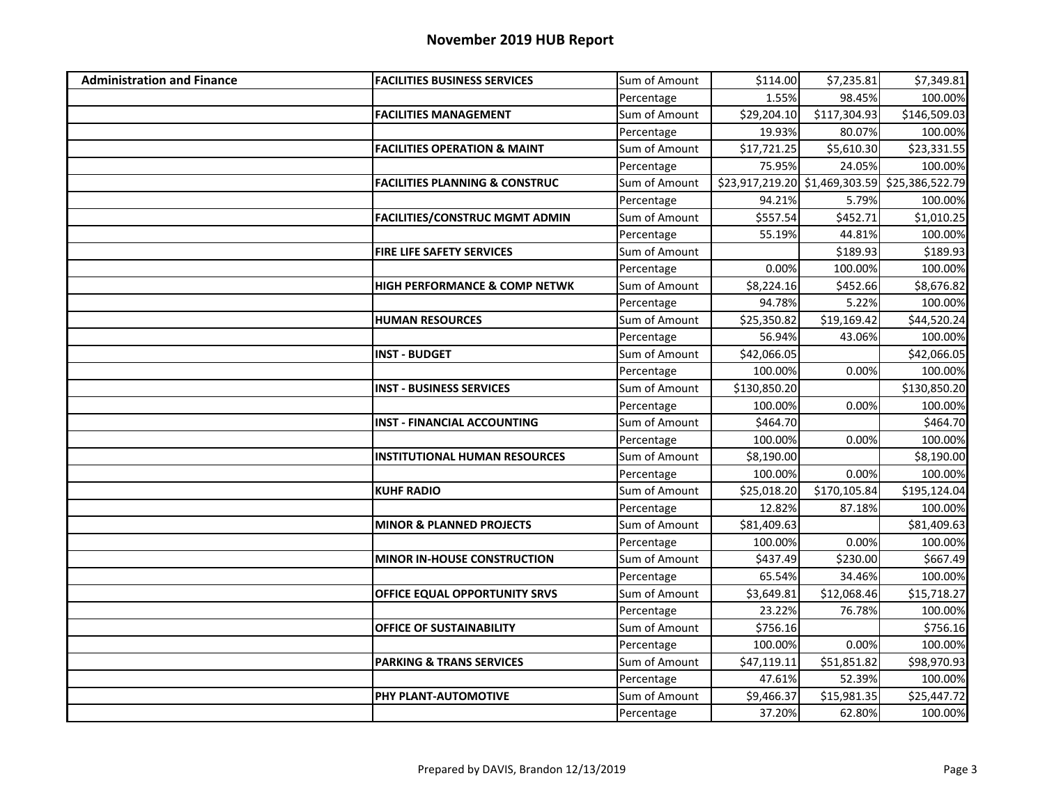| <b>Administration and Finance</b> | <b>FACILITIES BUSINESS SERVICES</b>       | Sum of Amount | \$114.00                       | \$7,235.81   | \$7,349.81      |
|-----------------------------------|-------------------------------------------|---------------|--------------------------------|--------------|-----------------|
|                                   |                                           | Percentage    | 1.55%                          | 98.45%       | 100.00%         |
|                                   | <b>FACILITIES MANAGEMENT</b>              | Sum of Amount | \$29,204.10                    | \$117,304.93 | \$146,509.03    |
|                                   |                                           | Percentage    | 19.93%                         | 80.07%       | 100.00%         |
|                                   | <b>FACILITIES OPERATION &amp; MAINT</b>   | Sum of Amount | \$17,721.25                    | \$5,610.30   | \$23,331.55     |
|                                   |                                           | Percentage    | 75.95%                         | 24.05%       | 100.00%         |
|                                   | <b>FACILITIES PLANNING &amp; CONSTRUC</b> | Sum of Amount | \$23,917,219.20 \$1,469,303.59 |              | \$25,386,522.79 |
|                                   |                                           | Percentage    | 94.21%                         | 5.79%        | 100.00%         |
|                                   | <b>FACILITIES/CONSTRUC MGMT ADMIN</b>     | Sum of Amount | \$557.54                       | \$452.71     | \$1,010.25      |
|                                   |                                           | Percentage    | 55.19%                         | 44.81%       | 100.00%         |
|                                   | <b>FIRE LIFE SAFETY SERVICES</b>          | Sum of Amount |                                | \$189.93     | \$189.93        |
|                                   |                                           | Percentage    | 0.00%                          | 100.00%      | 100.00%         |
|                                   | <b>HIGH PERFORMANCE &amp; COMP NETWK</b>  | Sum of Amount | \$8,224.16                     | \$452.66     | \$8,676.82      |
|                                   |                                           | Percentage    | 94.78%                         | 5.22%        | 100.00%         |
|                                   | <b>HUMAN RESOURCES</b>                    | Sum of Amount | \$25,350.82                    | \$19,169.42  | \$44,520.24     |
|                                   |                                           | Percentage    | 56.94%                         | 43.06%       | 100.00%         |
|                                   | <b>INST - BUDGET</b>                      | Sum of Amount | \$42,066.05                    |              | \$42,066.05     |
|                                   |                                           | Percentage    | 100.00%                        | 0.00%        | 100.00%         |
|                                   | <b>INST - BUSINESS SERVICES</b>           | Sum of Amount | \$130,850.20                   |              | \$130,850.20    |
|                                   |                                           | Percentage    | 100.00%                        | 0.00%        | 100.00%         |
|                                   | <b>INST - FINANCIAL ACCOUNTING</b>        | Sum of Amount | \$464.70                       |              | \$464.70        |
|                                   |                                           | Percentage    | 100.00%                        | 0.00%        | 100.00%         |
|                                   | <b>INSTITUTIONAL HUMAN RESOURCES</b>      | Sum of Amount | \$8,190.00                     |              | \$8,190.00      |
|                                   |                                           | Percentage    | 100.00%                        | 0.00%        | 100.00%         |
|                                   | <b>KUHF RADIO</b>                         | Sum of Amount | \$25,018.20                    | \$170,105.84 | \$195,124.04    |
|                                   |                                           | Percentage    | 12.82%                         | 87.18%       | 100.00%         |
|                                   | <b>MINOR &amp; PLANNED PROJECTS</b>       | Sum of Amount | \$81,409.63                    |              | \$81,409.63     |
|                                   |                                           | Percentage    | 100.00%                        | 0.00%        | 100.00%         |
|                                   | <b>MINOR IN-HOUSE CONSTRUCTION</b>        | Sum of Amount | \$437.49                       | \$230.00     | \$667.49        |
|                                   |                                           | Percentage    | 65.54%                         | 34.46%       | 100.00%         |
|                                   | <b>OFFICE EQUAL OPPORTUNITY SRVS</b>      | Sum of Amount | \$3,649.81                     | \$12,068.46  | \$15,718.27     |
|                                   |                                           | Percentage    | 23.22%                         | 76.78%       | 100.00%         |
|                                   | <b>OFFICE OF SUSTAINABILITY</b>           | Sum of Amount | \$756.16                       |              | \$756.16        |
|                                   |                                           | Percentage    | 100.00%                        | 0.00%        | 100.00%         |
|                                   | <b>PARKING &amp; TRANS SERVICES</b>       | Sum of Amount | \$47,119.11                    | \$51,851.82  | \$98,970.93     |
|                                   |                                           | Percentage    | 47.61%                         | 52.39%       | 100.00%         |
|                                   | <b>PHY PLANT-AUTOMOTIVE</b>               | Sum of Amount | \$9,466.37                     | \$15,981.35  | \$25,447.72     |
|                                   |                                           | Percentage    | 37.20%                         | 62.80%       | 100.00%         |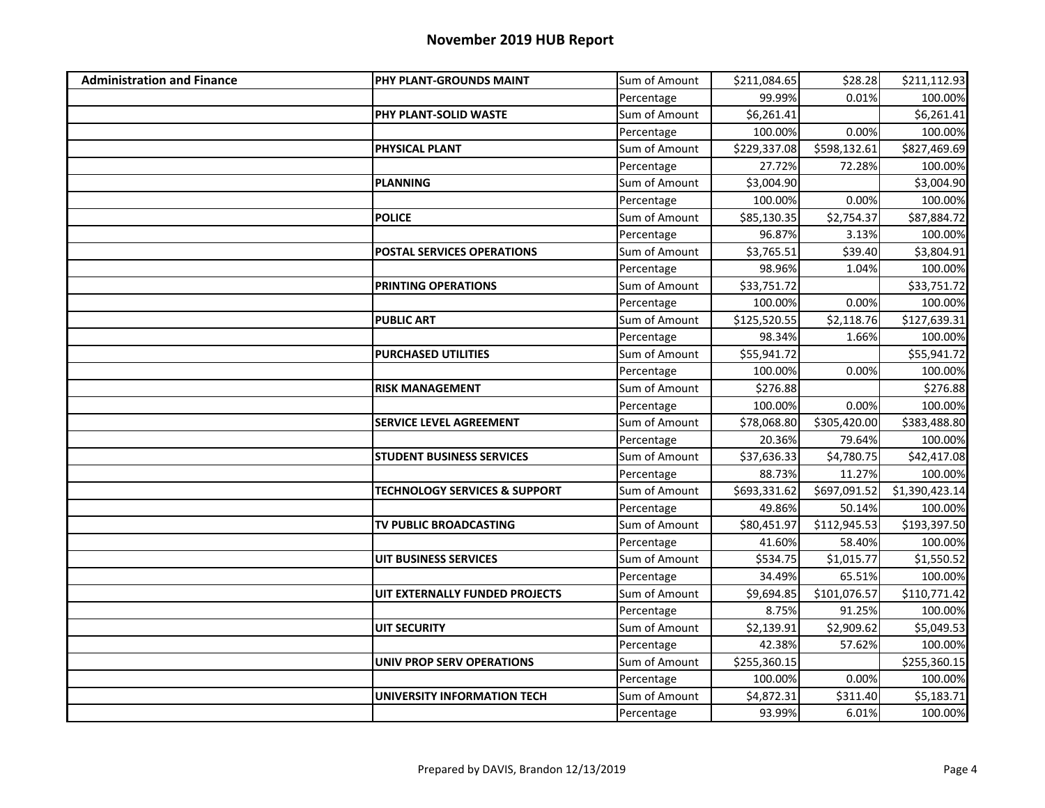| <b>Administration and Finance</b> | <b>PHY PLANT-GROUNDS MAINT</b>    | Sum of Amount | \$211,084.65 | \$28.28      | \$211,112.93   |
|-----------------------------------|-----------------------------------|---------------|--------------|--------------|----------------|
|                                   |                                   | Percentage    | 99.99%       | 0.01%        | 100.00%        |
|                                   | PHY PLANT-SOLID WASTE             | Sum of Amount | \$6,261.41   |              | \$6,261.41     |
|                                   |                                   | Percentage    | 100.00%      | 0.00%        | 100.00%        |
|                                   | <b>PHYSICAL PLANT</b>             | Sum of Amount | \$229,337.08 | \$598,132.61 | \$827,469.69   |
|                                   |                                   | Percentage    | 27.72%       | 72.28%       | 100.00%        |
|                                   | PLANNING                          | Sum of Amount | \$3,004.90   |              | \$3,004.90     |
|                                   |                                   | Percentage    | 100.00%      | 0.00%        | 100.00%        |
|                                   | <b>POLICE</b>                     | Sum of Amount | \$85,130.35  | \$2,754.37   | \$87,884.72    |
|                                   |                                   | Percentage    | 96.87%       | 3.13%        | 100.00%        |
|                                   | <b>POSTAL SERVICES OPERATIONS</b> | Sum of Amount | \$3,765.51   | \$39.40      | \$3,804.91     |
|                                   |                                   | Percentage    | 98.96%       | 1.04%        | 100.00%        |
|                                   | <b>PRINTING OPERATIONS</b>        | Sum of Amount | \$33,751.72  |              | \$33,751.72    |
|                                   |                                   | Percentage    | 100.00%      | 0.00%        | 100.00%        |
|                                   | <b>PUBLIC ART</b>                 | Sum of Amount | \$125,520.55 | \$2,118.76   | \$127,639.31   |
|                                   |                                   | Percentage    | 98.34%       | 1.66%        | 100.00%        |
|                                   | <b>PURCHASED UTILITIES</b>        | Sum of Amount | \$55,941.72  |              | \$55,941.72    |
|                                   |                                   | Percentage    | 100.00%      | 0.00%        | 100.00%        |
|                                   | <b>RISK MANAGEMENT</b>            | Sum of Amount | \$276.88     |              | \$276.88       |
|                                   |                                   | Percentage    | 100.00%      | 0.00%        | 100.00%        |
|                                   | <b>SERVICE LEVEL AGREEMENT</b>    | Sum of Amount | \$78,068.80  | \$305,420.00 | \$383,488.80   |
|                                   |                                   | Percentage    | 20.36%       | 79.64%       | 100.00%        |
|                                   | <b>STUDENT BUSINESS SERVICES</b>  | Sum of Amount | \$37,636.33  | \$4,780.75   | \$42,417.08    |
|                                   |                                   | Percentage    | 88.73%       | 11.27%       | 100.00%        |
|                                   | TECHNOLOGY SERVICES & SUPPORT     | Sum of Amount | \$693,331.62 | \$697,091.52 | \$1,390,423.14 |
|                                   |                                   | Percentage    | 49.86%       | 50.14%       | 100.00%        |
|                                   | TV PUBLIC BROADCASTING            | Sum of Amount | \$80,451.97  | \$112,945.53 | \$193,397.50   |
|                                   |                                   | Percentage    | 41.60%       | 58.40%       | 100.00%        |
|                                   | UIT BUSINESS SERVICES             | Sum of Amount | \$534.75     | \$1,015.77   | \$1,550.52     |
|                                   |                                   | Percentage    | 34.49%       | 65.51%       | 100.00%        |
|                                   | UIT EXTERNALLY FUNDED PROJECTS    | Sum of Amount | \$9,694.85   | \$101,076.57 | \$110,771.42   |
|                                   |                                   | Percentage    | 8.75%        | 91.25%       | 100.00%        |
|                                   | UIT SECURITY                      | Sum of Amount | \$2,139.91   | \$2,909.62   | \$5,049.53     |
|                                   |                                   | Percentage    | 42.38%       | 57.62%       | 100.00%        |
|                                   | UNIV PROP SERV OPERATIONS         | Sum of Amount | \$255,360.15 |              | \$255,360.15   |
|                                   |                                   | Percentage    | 100.00%      | 0.00%        | 100.00%        |
|                                   | UNIVERSITY INFORMATION TECH       | Sum of Amount | \$4,872.31   | \$311.40     | \$5,183.71     |
|                                   |                                   | Percentage    | 93.99%       | 6.01%        | 100.00%        |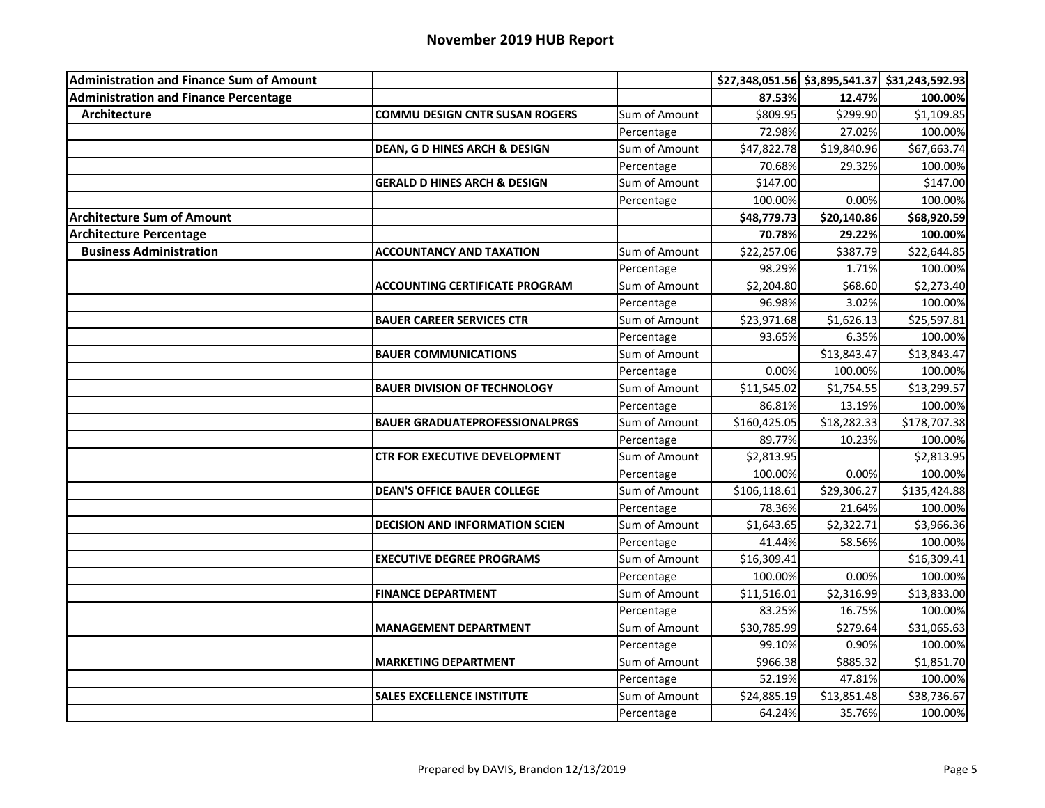| <b>Administration and Finance Sum of Amount</b> |                                          |               |              |             | \$27,348,051.56 \$3,895,541.37 \$31,243,592.93 |
|-------------------------------------------------|------------------------------------------|---------------|--------------|-------------|------------------------------------------------|
| <b>Administration and Finance Percentage</b>    |                                          |               | 87.53%       | 12.47%      | 100.00%                                        |
| Architecture                                    | <b>COMMU DESIGN CNTR SUSAN ROGERS</b>    | Sum of Amount | \$809.95     | \$299.90    | \$1,109.85                                     |
|                                                 |                                          | Percentage    | 72.98%       | 27.02%      | 100.00%                                        |
|                                                 | <b>DEAN, G D HINES ARCH &amp; DESIGN</b> | Sum of Amount | \$47,822.78  | \$19,840.96 | \$67,663.74                                    |
|                                                 |                                          | Percentage    | 70.68%       | 29.32%      | 100.00%                                        |
|                                                 | <b>GERALD D HINES ARCH &amp; DESIGN</b>  | Sum of Amount | \$147.00     |             | \$147.00                                       |
|                                                 |                                          | Percentage    | 100.00%      | 0.00%       | 100.00%                                        |
| <b>Architecture Sum of Amount</b>               |                                          |               | \$48,779.73  | \$20,140.86 | \$68,920.59                                    |
| <b>Architecture Percentage</b>                  |                                          |               | 70.78%       | 29.22%      | 100.00%                                        |
| <b>Business Administration</b>                  | <b>ACCOUNTANCY AND TAXATION</b>          | Sum of Amount | \$22,257.06  | \$387.79    | \$22,644.85                                    |
|                                                 |                                          | Percentage    | 98.29%       | 1.71%       | 100.00%                                        |
|                                                 | <b>ACCOUNTING CERTIFICATE PROGRAM</b>    | Sum of Amount | \$2,204.80   | \$68.60     | \$2,273.40                                     |
|                                                 |                                          | Percentage    | 96.98%       | 3.02%       | 100.00%                                        |
|                                                 | <b>BAUER CAREER SERVICES CTR</b>         | Sum of Amount | \$23,971.68  | \$1,626.13  | \$25,597.81                                    |
|                                                 |                                          | Percentage    | 93.65%       | 6.35%       | 100.00%                                        |
|                                                 | <b>BAUER COMMUNICATIONS</b>              | Sum of Amount |              | \$13,843.47 | \$13,843.47                                    |
|                                                 |                                          | Percentage    | 0.00%        | 100.00%     | 100.00%                                        |
|                                                 | <b>BAUER DIVISION OF TECHNOLOGY</b>      | Sum of Amount | \$11,545.02  | \$1,754.55  | \$13,299.57                                    |
|                                                 |                                          | Percentage    | 86.81%       | 13.19%      | 100.00%                                        |
|                                                 | <b>BAUER GRADUATEPROFESSIONALPRGS</b>    | Sum of Amount | \$160,425.05 | \$18,282.33 | \$178,707.38                                   |
|                                                 |                                          | Percentage    | 89.77%       | 10.23%      | 100.00%                                        |
|                                                 | <b>CTR FOR EXECUTIVE DEVELOPMENT</b>     | Sum of Amount | \$2,813.95   |             | \$2,813.95                                     |
|                                                 |                                          | Percentage    | 100.00%      | 0.00%       | 100.00%                                        |
|                                                 | <b>DEAN'S OFFICE BAUER COLLEGE</b>       | Sum of Amount | \$106,118.61 | \$29,306.27 | \$135,424.88                                   |
|                                                 |                                          | Percentage    | 78.36%       | 21.64%      | 100.00%                                        |
|                                                 | <b>DECISION AND INFORMATION SCIEN</b>    | Sum of Amount | \$1,643.65   | \$2,322.71  | \$3,966.36                                     |
|                                                 |                                          | Percentage    | 41.44%       | 58.56%      | 100.00%                                        |
|                                                 | <b>EXECUTIVE DEGREE PROGRAMS</b>         | Sum of Amount | \$16,309.41  |             | \$16,309.41                                    |
|                                                 |                                          | Percentage    | 100.00%      | 0.00%       | 100.00%                                        |
|                                                 | <b>FINANCE DEPARTMENT</b>                | Sum of Amount | \$11,516.01  | \$2,316.99  | \$13,833.00                                    |
|                                                 |                                          | Percentage    | 83.25%       | 16.75%      | 100.00%                                        |
|                                                 | <b>MANAGEMENT DEPARTMENT</b>             | Sum of Amount | \$30,785.99  | \$279.64    | \$31,065.63                                    |
|                                                 |                                          | Percentage    | 99.10%       | 0.90%       | 100.00%                                        |
|                                                 | <b>MARKETING DEPARTMENT</b>              | Sum of Amount | \$966.38     | \$885.32    | \$1,851.70                                     |
|                                                 |                                          | Percentage    | 52.19%       | 47.81%      | 100.00%                                        |
|                                                 | <b>SALES EXCELLENCE INSTITUTE</b>        | Sum of Amount | \$24,885.19  | \$13,851.48 | \$38,736.67                                    |
|                                                 |                                          | Percentage    | 64.24%       | 35.76%      | 100.00%                                        |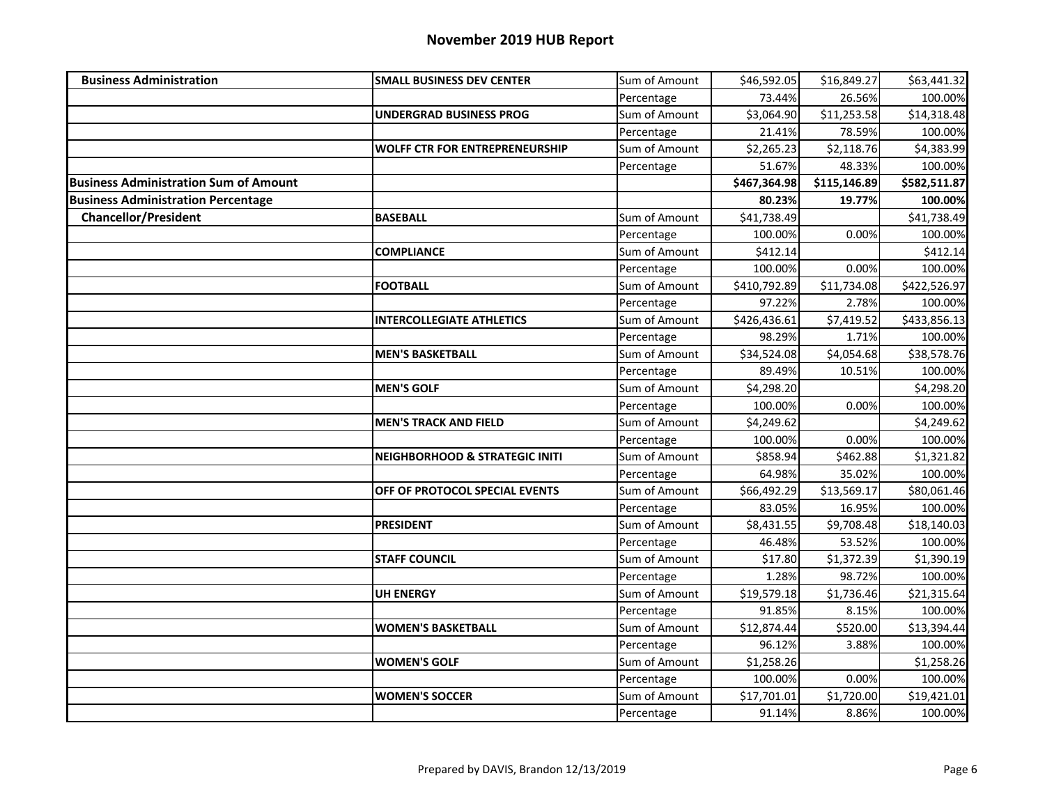| <b>Business Administration</b>               | <b>SMALL BUSINESS DEV CENTER</b>          | Sum of Amount | \$46,592.05  | \$16,849.27  | \$63,441.32  |
|----------------------------------------------|-------------------------------------------|---------------|--------------|--------------|--------------|
|                                              |                                           | Percentage    | 73.44%       | 26.56%       | 100.00%      |
|                                              | <b>UNDERGRAD BUSINESS PROG</b>            | Sum of Amount | \$3,064.90   | \$11,253.58  | \$14,318.48  |
|                                              |                                           | Percentage    | 21.41%       | 78.59%       | 100.00%      |
|                                              | <b>WOLFF CTR FOR ENTREPRENEURSHIP</b>     | Sum of Amount | \$2,265.23   | \$2,118.76   | \$4,383.99   |
|                                              |                                           | Percentage    | 51.67%       | 48.33%       | 100.00%      |
| <b>Business Administration Sum of Amount</b> |                                           |               | \$467,364.98 | \$115,146.89 | \$582,511.87 |
| <b>Business Administration Percentage</b>    |                                           |               | 80.23%       | 19.77%       | 100.00%      |
| <b>Chancellor/President</b>                  | <b>BASEBALL</b>                           | Sum of Amount | \$41,738.49  |              | \$41,738.49  |
|                                              |                                           | Percentage    | 100.00%      | 0.00%        | 100.00%      |
|                                              | <b>COMPLIANCE</b>                         | Sum of Amount | \$412.14     |              | \$412.14     |
|                                              |                                           | Percentage    | 100.00%      | 0.00%        | 100.00%      |
|                                              | <b>FOOTBALL</b>                           | Sum of Amount | \$410,792.89 | \$11,734.08  | \$422,526.97 |
|                                              |                                           | Percentage    | 97.22%       | 2.78%        | 100.00%      |
|                                              | <b>INTERCOLLEGIATE ATHLETICS</b>          | Sum of Amount | \$426,436.61 | \$7,419.52   | \$433,856.13 |
|                                              |                                           | Percentage    | 98.29%       | 1.71%        | 100.00%      |
|                                              | <b>MEN'S BASKETBALL</b>                   | Sum of Amount | \$34,524.08  | \$4,054.68   | \$38,578.76  |
|                                              |                                           | Percentage    | 89.49%       | 10.51%       | 100.00%      |
|                                              | <b>MEN'S GOLF</b>                         | Sum of Amount | \$4,298.20   |              | \$4,298.20   |
|                                              |                                           | Percentage    | 100.00%      | 0.00%        | 100.00%      |
|                                              | <b>MEN'S TRACK AND FIELD</b>              | Sum of Amount | \$4,249.62   |              | \$4,249.62   |
|                                              |                                           | Percentage    | 100.00%      | 0.00%        | 100.00%      |
|                                              | <b>NEIGHBORHOOD &amp; STRATEGIC INITI</b> | Sum of Amount | \$858.94     | \$462.88     | \$1,321.82   |
|                                              |                                           | Percentage    | 64.98%       | 35.02%       | 100.00%      |
|                                              | OFF OF PROTOCOL SPECIAL EVENTS            | Sum of Amount | \$66,492.29  | \$13,569.17  | \$80,061.46  |
|                                              |                                           | Percentage    | 83.05%       | 16.95%       | 100.00%      |
|                                              | <b>PRESIDENT</b>                          | Sum of Amount | \$8,431.55   | \$9,708.48   | \$18,140.03  |
|                                              |                                           | Percentage    | 46.48%       | 53.52%       | 100.00%      |
|                                              | <b>STAFF COUNCIL</b>                      | Sum of Amount | \$17.80      | \$1,372.39   | \$1,390.19   |
|                                              |                                           | Percentage    | 1.28%        | 98.72%       | 100.00%      |
|                                              | <b>UH ENERGY</b>                          | Sum of Amount | \$19,579.18  | \$1,736.46   | \$21,315.64  |
|                                              |                                           | Percentage    | 91.85%       | 8.15%        | 100.00%      |
|                                              | <b>WOMEN'S BASKETBALL</b>                 | Sum of Amount | \$12,874.44  | \$520.00     | \$13,394.44  |
|                                              |                                           | Percentage    | 96.12%       | 3.88%        | 100.00%      |
|                                              | <b>WOMEN'S GOLF</b>                       | Sum of Amount | \$1,258.26   |              | \$1,258.26   |
|                                              |                                           | Percentage    | 100.00%      | 0.00%        | 100.00%      |
|                                              | <b>WOMEN'S SOCCER</b>                     | Sum of Amount | \$17,701.01  | \$1,720.00   | \$19,421.01  |
|                                              |                                           | Percentage    | 91.14%       | 8.86%        | 100.00%      |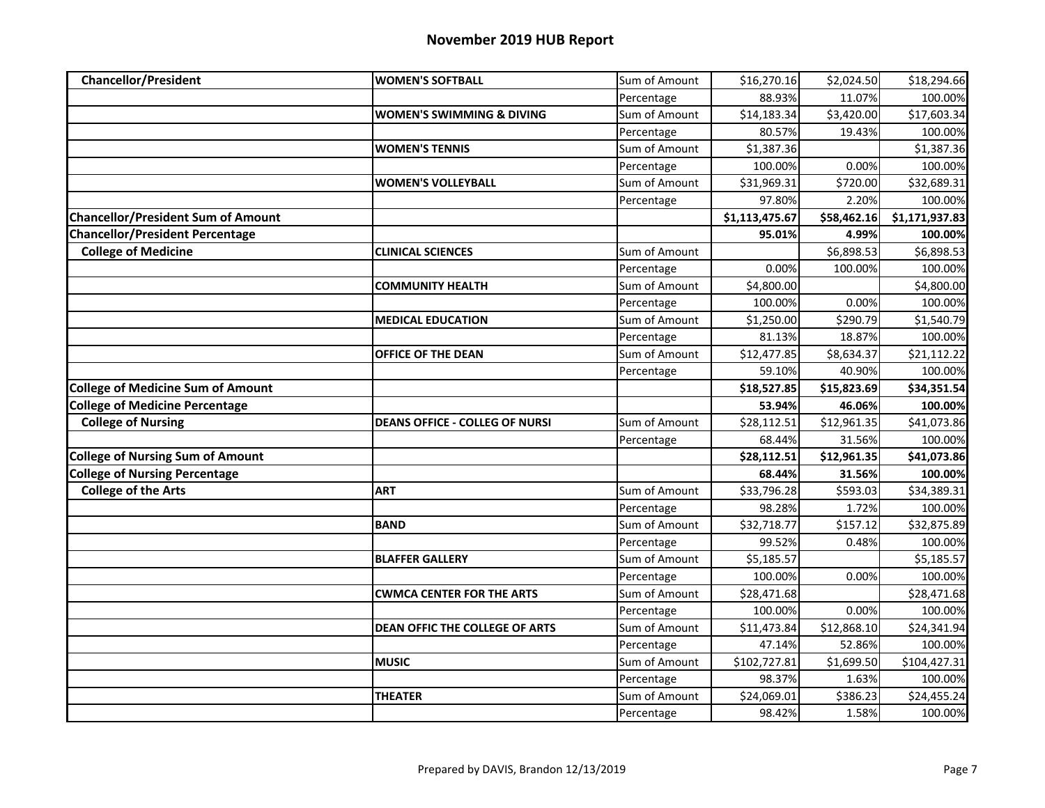| <b>Chancellor/President</b>               | <b>WOMEN'S SOFTBALL</b>               | Sum of Amount               | \$16,270.16           | \$2,024.50        | \$18,294.66            |
|-------------------------------------------|---------------------------------------|-----------------------------|-----------------------|-------------------|------------------------|
|                                           |                                       | Percentage                  | 88.93%                | 11.07%            | 100.00%                |
|                                           | <b>WOMEN'S SWIMMING &amp; DIVING</b>  | Sum of Amount               | \$14,183.34           | \$3,420.00        | \$17,603.34            |
|                                           |                                       | Percentage                  | 80.57%                | 19.43%            | 100.00%                |
|                                           | <b>WOMEN'S TENNIS</b>                 | Sum of Amount               | \$1,387.36            |                   | \$1,387.36             |
|                                           |                                       | Percentage                  | 100.00%               | 0.00%             | 100.00%                |
|                                           | <b>WOMEN'S VOLLEYBALL</b>             | Sum of Amount               | \$31,969.31           | \$720.00          | \$32,689.31            |
|                                           |                                       | Percentage                  | 97.80%                | 2.20%             | 100.00%                |
| <b>Chancellor/President Sum of Amount</b> |                                       |                             | \$1,113,475.67        | \$58,462.16       | \$1,171,937.83         |
| <b>Chancellor/President Percentage</b>    |                                       |                             | 95.01%                | 4.99%             | 100.00%                |
| <b>College of Medicine</b>                | <b>CLINICAL SCIENCES</b>              | Sum of Amount               |                       | \$6,898.53        | \$6,898.53             |
|                                           |                                       | Percentage                  | 0.00%                 | 100.00%           | 100.00%                |
|                                           | <b>COMMUNITY HEALTH</b>               | Sum of Amount               | \$4,800.00            |                   | \$4,800.00             |
|                                           |                                       | Percentage                  | 100.00%               | 0.00%             | 100.00%                |
|                                           | <b>MEDICAL EDUCATION</b>              | Sum of Amount               | \$1,250.00            | \$290.79          | \$1,540.79             |
|                                           |                                       | Percentage                  | 81.13%                | 18.87%            | 100.00%                |
|                                           | OFFICE OF THE DEAN                    | Sum of Amount               | \$12,477.85           | \$8,634.37        | \$21,112.22            |
|                                           |                                       | Percentage                  | 59.10%                | 40.90%            | 100.00%                |
| <b>College of Medicine Sum of Amount</b>  |                                       |                             | \$18,527.85           | \$15,823.69       | \$34,351.54            |
|                                           |                                       |                             |                       |                   |                        |
| <b>College of Medicine Percentage</b>     |                                       |                             | 53.94%                | 46.06%            | 100.00%                |
| <b>College of Nursing</b>                 | <b>DEANS OFFICE - COLLEG OF NURSI</b> | Sum of Amount               | \$28,112.51           | \$12,961.35       | \$41,073.86            |
|                                           |                                       | Percentage                  | 68.44%                | 31.56%            | 100.00%                |
| <b>College of Nursing Sum of Amount</b>   |                                       |                             | \$28,112.51           | \$12,961.35       | \$41,073.86            |
| <b>College of Nursing Percentage</b>      |                                       |                             | 68.44%                | 31.56%            | 100.00%                |
| <b>College of the Arts</b>                | <b>ART</b>                            | Sum of Amount               | \$33,796.28           | \$593.03          | \$34,389.31            |
|                                           |                                       | Percentage                  | 98.28%                | 1.72%             | 100.00%                |
|                                           | <b>BAND</b>                           | Sum of Amount               | \$32,718.77           | \$157.12          | \$32,875.89            |
|                                           |                                       | Percentage                  | 99.52%                | 0.48%             | 100.00%                |
|                                           | <b>BLAFFER GALLERY</b>                | Sum of Amount               | \$5,185.57            |                   | \$5,185.57             |
|                                           |                                       | Percentage                  | 100.00%               | 0.00%             | 100.00%                |
|                                           | <b>CWMCA CENTER FOR THE ARTS</b>      | Sum of Amount               | \$28,471.68           |                   | \$28,471.68            |
|                                           |                                       | Percentage                  | 100.00%               | 0.00%             | 100.00%                |
|                                           | DEAN OFFIC THE COLLEGE OF ARTS        | Sum of Amount               | \$11,473.84           | \$12,868.10       | \$24,341.94            |
|                                           |                                       | Percentage                  | 47.14%                | 52.86%            | 100.00%                |
|                                           | <b>MUSIC</b>                          | Sum of Amount               | \$102,727.81          | \$1,699.50        | \$104,427.31           |
|                                           |                                       | Percentage                  | 98.37%                | 1.63%             | 100.00%                |
|                                           | <b>THEATER</b>                        | Sum of Amount<br>Percentage | \$24,069.01<br>98.42% | \$386.23<br>1.58% | \$24,455.24<br>100.00% |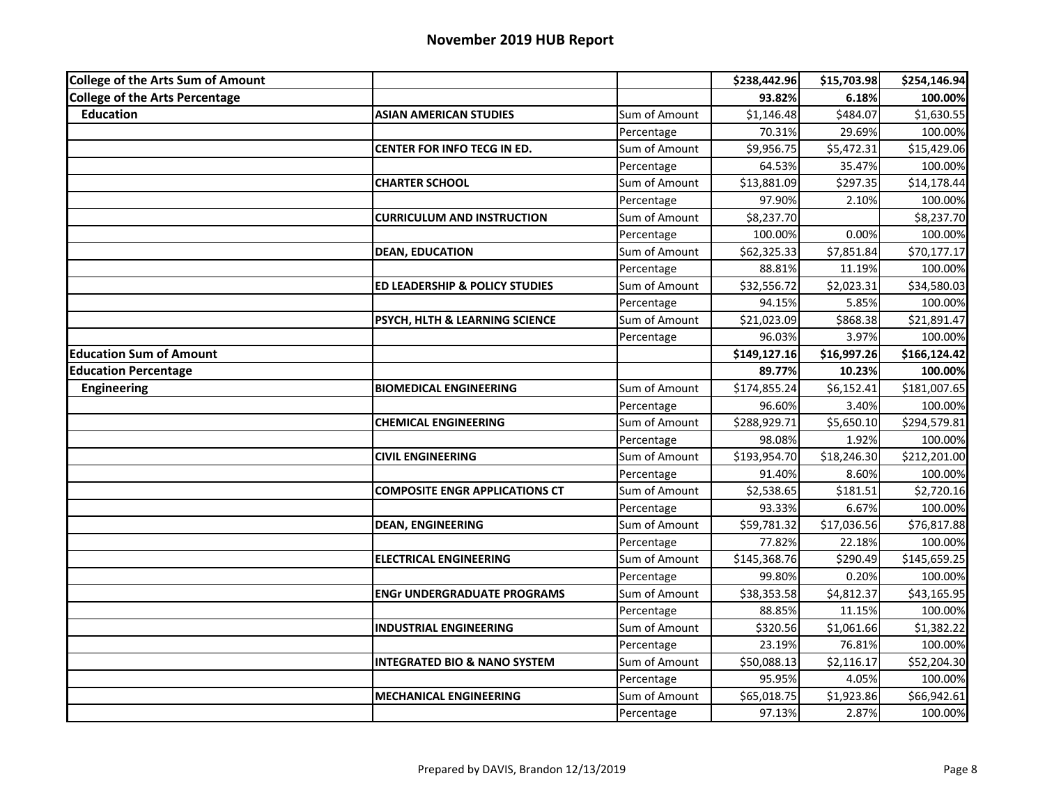| <b>College of the Arts Sum of Amount</b> |                                           |               | \$238,442.96 | \$15,703.98 | \$254,146.94 |
|------------------------------------------|-------------------------------------------|---------------|--------------|-------------|--------------|
| <b>College of the Arts Percentage</b>    |                                           |               | 93.82%       | 6.18%       | 100.00%      |
| <b>Education</b>                         | <b>ASIAN AMERICAN STUDIES</b>             | Sum of Amount | \$1,146.48   | \$484.07    | \$1,630.55   |
|                                          |                                           | Percentage    | 70.31%       | 29.69%      | 100.00%      |
|                                          | CENTER FOR INFO TECG IN ED.               | Sum of Amount | \$9,956.75   | \$5,472.31  | \$15,429.06  |
|                                          |                                           | Percentage    | 64.53%       | 35.47%      | 100.00%      |
|                                          | <b>CHARTER SCHOOL</b>                     | Sum of Amount | \$13,881.09  | \$297.35    | \$14,178.44  |
|                                          |                                           | Percentage    | 97.90%       | 2.10%       | 100.00%      |
|                                          | <b>CURRICULUM AND INSTRUCTION</b>         | Sum of Amount | \$8,237.70   |             | \$8,237.70   |
|                                          |                                           | Percentage    | 100.00%      | 0.00%       | 100.00%      |
|                                          | <b>DEAN, EDUCATION</b>                    | Sum of Amount | \$62,325.33  | \$7,851.84  | \$70,177.17  |
|                                          |                                           | Percentage    | 88.81%       | 11.19%      | 100.00%      |
|                                          | <b>ED LEADERSHIP &amp; POLICY STUDIES</b> | Sum of Amount | \$32,556.72  | \$2,023.31  | \$34,580.03  |
|                                          |                                           | Percentage    | 94.15%       | 5.85%       | 100.00%      |
|                                          | <b>PSYCH, HLTH &amp; LEARNING SCIENCE</b> | Sum of Amount | \$21,023.09  | \$868.38    | \$21,891.47  |
|                                          |                                           | Percentage    | 96.03%       | 3.97%       | 100.00%      |
| <b>Education Sum of Amount</b>           |                                           |               | \$149,127.16 | \$16,997.26 | \$166,124.42 |
| <b>Education Percentage</b>              |                                           |               | 89.77%       | 10.23%      | 100.00%      |
| <b>Engineering</b>                       | <b>BIOMEDICAL ENGINEERING</b>             | Sum of Amount | \$174,855.24 | \$6,152.41  | \$181,007.65 |
|                                          |                                           | Percentage    | 96.60%       | 3.40%       | 100.00%      |
|                                          | <b>CHEMICAL ENGINEERING</b>               | Sum of Amount | \$288,929.71 | \$5,650.10  | \$294,579.81 |
|                                          |                                           | Percentage    | 98.08%       | 1.92%       | 100.00%      |
|                                          | <b>CIVIL ENGINEERING</b>                  | Sum of Amount | \$193,954.70 | \$18,246.30 | \$212,201.00 |
|                                          |                                           | Percentage    | 91.40%       | 8.60%       | 100.00%      |
|                                          | <b>COMPOSITE ENGR APPLICATIONS CT</b>     | Sum of Amount | \$2,538.65   | \$181.51    | \$2,720.16   |
|                                          |                                           | Percentage    | 93.33%       | 6.67%       | 100.00%      |
|                                          | <b>DEAN, ENGINEERING</b>                  | Sum of Amount | \$59,781.32  | \$17,036.56 | \$76,817.88  |
|                                          |                                           | Percentage    | 77.82%       | 22.18%      | 100.00%      |
|                                          | <b>ELECTRICAL ENGINEERING</b>             | Sum of Amount | \$145,368.76 | \$290.49    | \$145,659.25 |
|                                          |                                           | Percentage    | 99.80%       | 0.20%       | 100.00%      |
|                                          | <b>ENGr UNDERGRADUATE PROGRAMS</b>        | Sum of Amount | \$38,353.58  | \$4,812.37  | \$43,165.95  |
|                                          |                                           | Percentage    | 88.85%       | 11.15%      | 100.00%      |
|                                          | <b>INDUSTRIAL ENGINEERING</b>             | Sum of Amount | \$320.56     | \$1,061.66  | \$1,382.22   |
|                                          |                                           | Percentage    | 23.19%       | 76.81%      | 100.00%      |
|                                          | <b>INTEGRATED BIO &amp; NANO SYSTEM</b>   | Sum of Amount | \$50,088.13  | \$2,116.17  | \$52,204.30  |
|                                          |                                           | Percentage    | 95.95%       | 4.05%       | 100.00%      |
|                                          | <b>MECHANICAL ENGINEERING</b>             | Sum of Amount | \$65,018.75  | \$1,923.86  | \$66,942.61  |
|                                          |                                           | Percentage    | 97.13%       | 2.87%       | 100.00%      |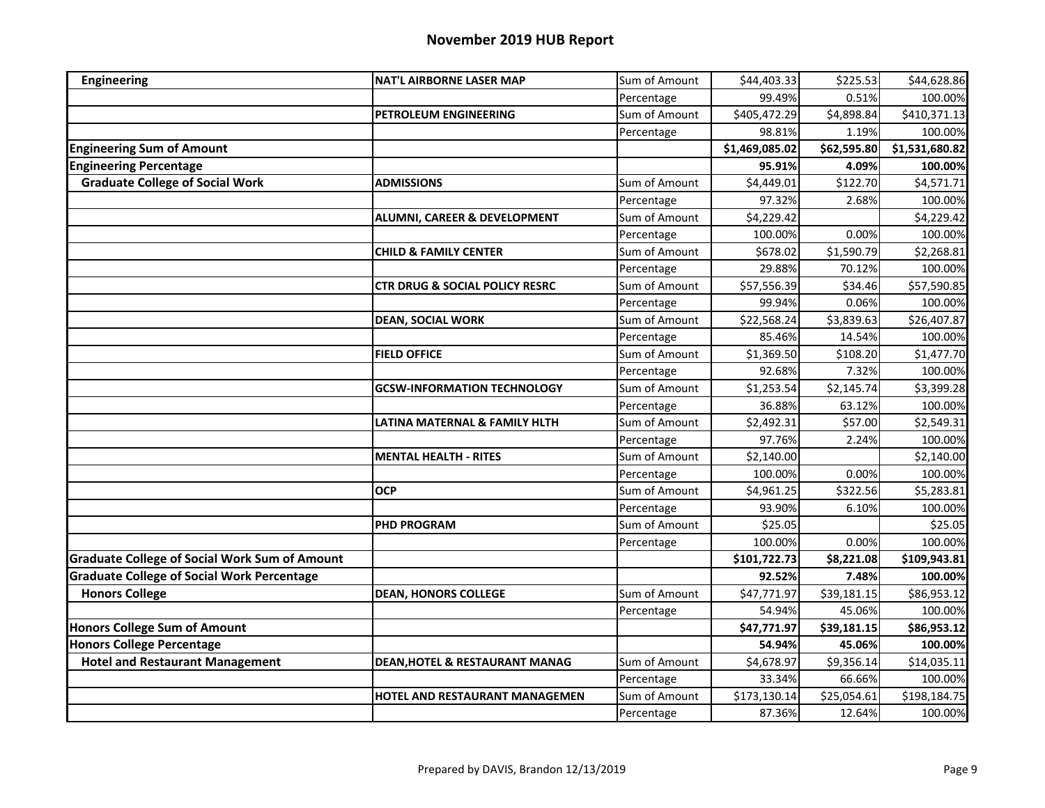| Engineering                                          | <b>NAT'L AIRBORNE LASER MAP</b>           | Sum of Amount | \$44,403.33    | \$225.53    | \$44,628.86    |
|------------------------------------------------------|-------------------------------------------|---------------|----------------|-------------|----------------|
|                                                      |                                           | Percentage    | 99.49%         | 0.51%       | 100.00%        |
|                                                      | PETROLEUM ENGINEERING                     | Sum of Amount | \$405,472.29   | \$4,898.84  | \$410,371.13   |
|                                                      |                                           | Percentage    | 98.81%         | 1.19%       | 100.00%        |
| <b>Engineering Sum of Amount</b>                     |                                           |               | \$1,469,085.02 | \$62,595.80 | \$1,531,680.82 |
| <b>Engineering Percentage</b>                        |                                           |               | 95.91%         | 4.09%       | 100.00%        |
| <b>Graduate College of Social Work</b>               | <b>ADMISSIONS</b>                         | Sum of Amount | \$4,449.01     | \$122.70    | \$4,571.71     |
|                                                      |                                           | Percentage    | 97.32%         | 2.68%       | 100.00%        |
|                                                      | <b>ALUMNI, CAREER &amp; DEVELOPMENT</b>   | Sum of Amount | \$4,229.42     |             | \$4,229.42     |
|                                                      |                                           | Percentage    | 100.00%        | 0.00%       | 100.00%        |
|                                                      | <b>CHILD &amp; FAMILY CENTER</b>          | Sum of Amount | \$678.02       | \$1,590.79  | \$2,268.81     |
|                                                      |                                           | Percentage    | 29.88%         | 70.12%      | 100.00%        |
|                                                      | <b>CTR DRUG &amp; SOCIAL POLICY RESRC</b> | Sum of Amount | \$57,556.39    | \$34.46     | \$57,590.85    |
|                                                      |                                           | Percentage    | 99.94%         | 0.06%       | 100.00%        |
|                                                      | <b>DEAN, SOCIAL WORK</b>                  | Sum of Amount | \$22,568.24    | \$3,839.63  | \$26,407.87    |
|                                                      |                                           | Percentage    | 85.46%         | 14.54%      | 100.00%        |
|                                                      | <b>FIELD OFFICE</b>                       | Sum of Amount | \$1,369.50     | \$108.20    | \$1,477.70     |
|                                                      |                                           | Percentage    | 92.68%         | 7.32%       | 100.00%        |
|                                                      | <b>GCSW-INFORMATION TECHNOLOGY</b>        | Sum of Amount | \$1,253.54     | \$2,145.74  | \$3,399.28     |
|                                                      |                                           | Percentage    | 36.88%         | 63.12%      | 100.00%        |
|                                                      | LATINA MATERNAL & FAMILY HLTH             | Sum of Amount | \$2,492.31     | \$57.00     | \$2,549.31     |
|                                                      |                                           | Percentage    | 97.76%         | 2.24%       | 100.00%        |
|                                                      | <b>MENTAL HEALTH - RITES</b>              | Sum of Amount | \$2,140.00     |             | \$2,140.00     |
|                                                      |                                           | Percentage    | 100.00%        | 0.00%       | 100.00%        |
|                                                      | OCP                                       | Sum of Amount | \$4,961.25     | \$322.56    | \$5,283.81     |
|                                                      |                                           | Percentage    | 93.90%         | 6.10%       | 100.00%        |
|                                                      | <b>PHD PROGRAM</b>                        | Sum of Amount | \$25.05        |             | \$25.05        |
|                                                      |                                           | Percentage    | 100.00%        | 0.00%       | 100.00%        |
| <b>Graduate College of Social Work Sum of Amount</b> |                                           |               | \$101,722.73   | \$8,221.08  | \$109,943.81   |
| <b>Graduate College of Social Work Percentage</b>    |                                           |               | 92.52%         | 7.48%       | 100.00%        |
| <b>Honors College</b>                                | <b>DEAN, HONORS COLLEGE</b>               | Sum of Amount | \$47,771.97    | \$39,181.15 | \$86,953.12    |
|                                                      |                                           | Percentage    | 54.94%         | 45.06%      | 100.00%        |
| <b>Honors College Sum of Amount</b>                  |                                           |               | \$47,771.97    | \$39,181.15 | \$86,953.12    |
| <b>Honors College Percentage</b>                     |                                           |               | 54.94%         | 45.06%      | 100.00%        |
| <b>Hotel and Restaurant Management</b>               | <b>DEAN, HOTEL &amp; RESTAURANT MANAG</b> | Sum of Amount | \$4,678.97     | \$9,356.14  | \$14,035.11    |
|                                                      |                                           | Percentage    | 33.34%         | 66.66%      | 100.00%        |
|                                                      | HOTEL AND RESTAURANT MANAGEMEN            | Sum of Amount | \$173,130.14   | \$25,054.61 | \$198,184.75   |
|                                                      |                                           | Percentage    | 87.36%         | 12.64%      | 100.00%        |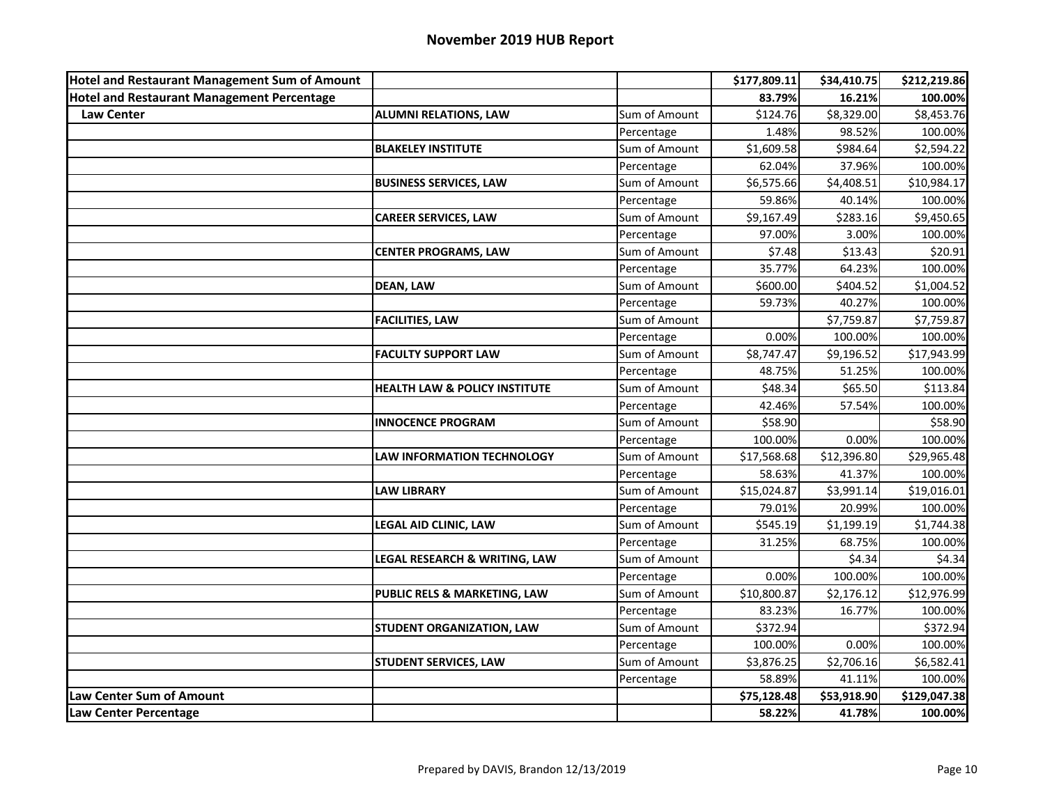| <b>Hotel and Restaurant Management Sum of Amount</b> |                                          |               | \$177,809.11 | \$34,410.75 | \$212,219.86 |
|------------------------------------------------------|------------------------------------------|---------------|--------------|-------------|--------------|
| <b>Hotel and Restaurant Management Percentage</b>    |                                          |               | 83.79%       | 16.21%      | 100.00%      |
| <b>Law Center</b>                                    | <b>ALUMNI RELATIONS, LAW</b>             | Sum of Amount | \$124.76     | \$8,329.00  | \$8,453.76   |
|                                                      |                                          | Percentage    | 1.48%        | 98.52%      | 100.00%      |
|                                                      | <b>BLAKELEY INSTITUTE</b>                | Sum of Amount | \$1,609.58   | \$984.64    | \$2,594.22   |
|                                                      |                                          | Percentage    | 62.04%       | 37.96%      | 100.00%      |
|                                                      | <b>BUSINESS SERVICES, LAW</b>            | Sum of Amount | \$6,575.66   | \$4,408.51  | \$10,984.17  |
|                                                      |                                          | Percentage    | 59.86%       | 40.14%      | 100.00%      |
|                                                      | <b>CAREER SERVICES, LAW</b>              | Sum of Amount | \$9,167.49   | \$283.16    | \$9,450.65   |
|                                                      |                                          | Percentage    | 97.00%       | 3.00%       | 100.00%      |
|                                                      | <b>CENTER PROGRAMS, LAW</b>              | Sum of Amount | \$7.48       | \$13.43     | \$20.91      |
|                                                      |                                          | Percentage    | 35.77%       | 64.23%      | 100.00%      |
|                                                      | <b>DEAN, LAW</b>                         | Sum of Amount | \$600.00     | \$404.52    | \$1,004.52   |
|                                                      |                                          | Percentage    | 59.73%       | 40.27%      | 100.00%      |
|                                                      | <b>FACILITIES, LAW</b>                   | Sum of Amount |              | \$7,759.87  | \$7,759.87   |
|                                                      |                                          | Percentage    | 0.00%        | 100.00%     | 100.00%      |
|                                                      | <b>FACULTY SUPPORT LAW</b>               | Sum of Amount | \$8,747.47   | \$9,196.52  | \$17,943.99  |
|                                                      |                                          | Percentage    | 48.75%       | 51.25%      | 100.00%      |
|                                                      | <b>HEALTH LAW &amp; POLICY INSTITUTE</b> | Sum of Amount | \$48.34      | \$65.50     | \$113.84     |
|                                                      |                                          | Percentage    | 42.46%       | 57.54%      | 100.00%      |
|                                                      | <b>INNOCENCE PROGRAM</b>                 | Sum of Amount | \$58.90      |             | \$58.90      |
|                                                      |                                          | Percentage    | 100.00%      | 0.00%       | 100.00%      |
|                                                      | LAW INFORMATION TECHNOLOGY               | Sum of Amount | \$17,568.68  | \$12,396.80 | \$29,965.48  |
|                                                      |                                          | Percentage    | 58.63%       | 41.37%      | 100.00%      |
|                                                      | LAW LIBRARY                              | Sum of Amount | \$15,024.87  | \$3,991.14  | \$19,016.01  |
|                                                      |                                          | Percentage    | 79.01%       | 20.99%      | 100.00%      |
|                                                      | <b>LEGAL AID CLINIC, LAW</b>             | Sum of Amount | \$545.19     | \$1,199.19  | \$1,744.38   |
|                                                      |                                          | Percentage    | 31.25%       | 68.75%      | 100.00%      |
|                                                      | LEGAL RESEARCH & WRITING, LAW            | Sum of Amount |              | \$4.34      | \$4.34       |
|                                                      |                                          | Percentage    | 0.00%        | 100.00%     | 100.00%      |
|                                                      | PUBLIC RELS & MARKETING, LAW             | Sum of Amount | \$10,800.87  | \$2,176.12  | \$12,976.99  |
|                                                      |                                          | Percentage    | 83.23%       | 16.77%      | 100.00%      |
|                                                      | <b>STUDENT ORGANIZATION, LAW</b>         | Sum of Amount | \$372.94     |             | \$372.94     |
|                                                      |                                          | Percentage    | 100.00%      | 0.00%       | 100.00%      |
|                                                      | <b>STUDENT SERVICES, LAW</b>             | Sum of Amount | \$3,876.25   | \$2,706.16  | \$6,582.41   |
|                                                      |                                          | Percentage    | 58.89%       | 41.11%      | 100.00%      |
| <b>Law Center Sum of Amount</b>                      |                                          |               | \$75,128.48  | \$53,918.90 | \$129,047.38 |
| Law Center Percentage                                |                                          |               | 58.22%       | 41.78%      | 100.00%      |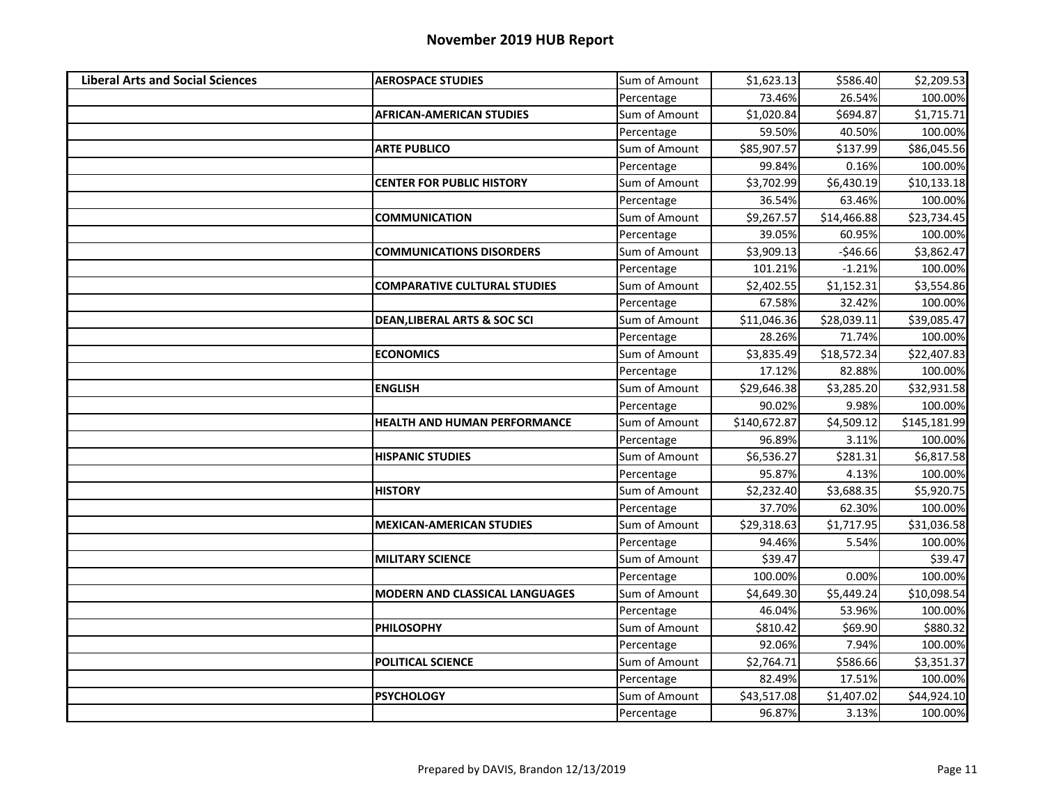| <b>Liberal Arts and Social Sciences</b> | <b>AEROSPACE STUDIES</b>                | Sum of Amount | \$1,623.13   | \$586.40    | \$2,209.53   |
|-----------------------------------------|-----------------------------------------|---------------|--------------|-------------|--------------|
|                                         |                                         | Percentage    | 73.46%       | 26.54%      | 100.00%      |
|                                         | <b>AFRICAN-AMERICAN STUDIES</b>         | Sum of Amount | \$1,020.84   | \$694.87    | \$1,715.71   |
|                                         |                                         | Percentage    | 59.50%       | 40.50%      | 100.00%      |
|                                         | <b>ARTE PUBLICO</b>                     | Sum of Amount | \$85,907.57  | \$137.99    | \$86,045.56  |
|                                         |                                         | Percentage    | 99.84%       | 0.16%       | 100.00%      |
|                                         | <b>CENTER FOR PUBLIC HISTORY</b>        | Sum of Amount | \$3,702.99   | \$6,430.19  | \$10,133.18  |
|                                         |                                         | Percentage    | 36.54%       | 63.46%      | 100.00%      |
|                                         | <b>COMMUNICATION</b>                    | Sum of Amount | \$9,267.57   | \$14,466.88 | \$23,734.45  |
|                                         |                                         | Percentage    | 39.05%       | 60.95%      | 100.00%      |
|                                         | <b>COMMUNICATIONS DISORDERS</b>         | Sum of Amount | \$3,909.13   | $-$46.66$   | \$3,862.47   |
|                                         |                                         | Percentage    | 101.21%      | $-1.21%$    | 100.00%      |
|                                         | <b>COMPARATIVE CULTURAL STUDIES</b>     | Sum of Amount | \$2,402.55   | \$1,152.31  | \$3,554.86   |
|                                         |                                         | Percentage    | 67.58%       | 32.42%      | 100.00%      |
|                                         | <b>DEAN, LIBERAL ARTS &amp; SOC SCI</b> | Sum of Amount | \$11,046.36  | \$28,039.11 | \$39,085.47  |
|                                         |                                         | Percentage    | 28.26%       | 71.74%      | 100.00%      |
|                                         | <b>ECONOMICS</b>                        | Sum of Amount | \$3,835.49   | \$18,572.34 | \$22,407.83  |
|                                         |                                         | Percentage    | 17.12%       | 82.88%      | 100.00%      |
|                                         | <b>ENGLISH</b>                          | Sum of Amount | \$29,646.38  | \$3,285.20  | \$32,931.58  |
|                                         |                                         | Percentage    | 90.02%       | 9.98%       | 100.00%      |
|                                         | <b>HEALTH AND HUMAN PERFORMANCE</b>     | Sum of Amount | \$140,672.87 | \$4,509.12  | \$145,181.99 |
|                                         |                                         | Percentage    | 96.89%       | 3.11%       | 100.00%      |
|                                         | <b>HISPANIC STUDIES</b>                 | Sum of Amount | \$6,536.27   | \$281.31    | \$6,817.58   |
|                                         |                                         | Percentage    | 95.87%       | 4.13%       | 100.00%      |
|                                         | <b>HISTORY</b>                          | Sum of Amount | \$2,232.40   | \$3,688.35  | \$5,920.75   |
|                                         |                                         | Percentage    | 37.70%       | 62.30%      | 100.00%      |
|                                         | <b>MEXICAN-AMERICAN STUDIES</b>         | Sum of Amount | \$29,318.63  | \$1,717.95  | \$31,036.58  |
|                                         |                                         | Percentage    | 94.46%       | 5.54%       | 100.00%      |
|                                         | <b>MILITARY SCIENCE</b>                 | Sum of Amount | \$39.47      |             | \$39.47      |
|                                         |                                         | Percentage    | 100.00%      | 0.00%       | 100.00%      |
|                                         | <b>MODERN AND CLASSICAL LANGUAGES</b>   | Sum of Amount | \$4,649.30   | \$5,449.24  | \$10,098.54  |
|                                         |                                         | Percentage    | 46.04%       | 53.96%      | 100.00%      |
|                                         | <b>PHILOSOPHY</b>                       | Sum of Amount | \$810.42     | \$69.90     | \$880.32     |
|                                         |                                         | Percentage    | 92.06%       | 7.94%       | 100.00%      |
|                                         | <b>POLITICAL SCIENCE</b>                | Sum of Amount | \$2,764.71   | \$586.66    | \$3,351.37   |
|                                         |                                         | Percentage    | 82.49%       | 17.51%      | 100.00%      |
|                                         | <b>PSYCHOLOGY</b>                       | Sum of Amount | \$43,517.08  | \$1,407.02  | \$44,924.10  |
|                                         |                                         | Percentage    | 96.87%       | 3.13%       | 100.00%      |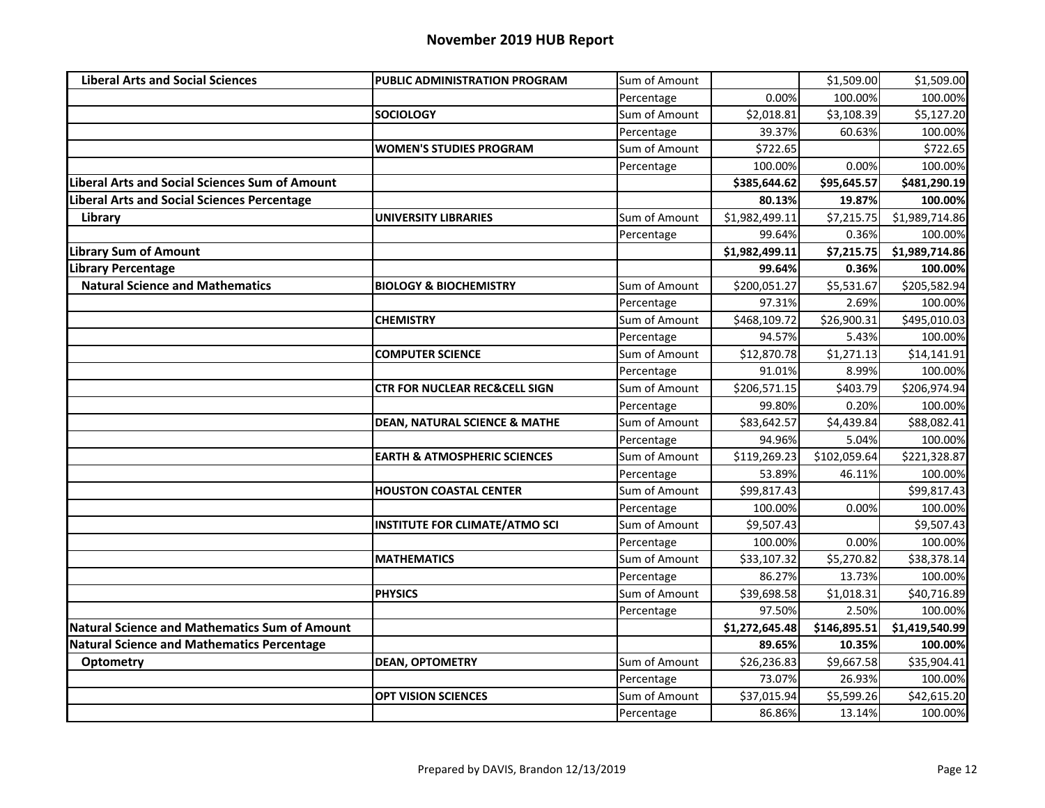## **November 2019 HUB Report**

| <b>Liberal Arts and Social Sciences</b>               | <b>PUBLIC ADMINISTRATION PROGRAM</b>     | Sum of Amount |                | \$1,509.00   | \$1,509.00     |
|-------------------------------------------------------|------------------------------------------|---------------|----------------|--------------|----------------|
|                                                       |                                          | Percentage    | 0.00%          | 100.00%      | 100.00%        |
|                                                       | <b>SOCIOLOGY</b>                         | Sum of Amount | \$2,018.81     | \$3,108.39   | \$5,127.20     |
|                                                       |                                          | Percentage    | 39.37%         | 60.63%       | 100.00%        |
|                                                       | <b>WOMEN'S STUDIES PROGRAM</b>           | Sum of Amount | \$722.65       |              | \$722.65       |
|                                                       |                                          | Percentage    | 100.00%        | 0.00%        | 100.00%        |
| <b>Liberal Arts and Social Sciences Sum of Amount</b> |                                          |               | \$385,644.62   | \$95,645.57  | \$481,290.19   |
| <b>Liberal Arts and Social Sciences Percentage</b>    |                                          |               | 80.13%         | 19.87%       | 100.00%        |
| Library                                               | <b>UNIVERSITY LIBRARIES</b>              | Sum of Amount | \$1,982,499.11 | \$7,215.75   | \$1,989,714.86 |
|                                                       |                                          | Percentage    | 99.64%         | 0.36%        | 100.00%        |
| <b>Library Sum of Amount</b>                          |                                          |               | \$1,982,499.11 | \$7,215.75   | \$1,989,714.86 |
| <b>Library Percentage</b>                             |                                          |               | 99.64%         | 0.36%        | 100.00%        |
| <b>Natural Science and Mathematics</b>                | <b>BIOLOGY &amp; BIOCHEMISTRY</b>        | Sum of Amount | \$200,051.27   | \$5,531.67   | \$205,582.94   |
|                                                       |                                          | Percentage    | 97.31%         | 2.69%        | 100.00%        |
|                                                       | <b>CHEMISTRY</b>                         | Sum of Amount | \$468,109.72   | \$26,900.31  | \$495,010.03   |
|                                                       |                                          | Percentage    | 94.57%         | 5.43%        | 100.00%        |
|                                                       | <b>COMPUTER SCIENCE</b>                  | Sum of Amount | \$12,870.78    | \$1,271.13   | \$14,141.91    |
|                                                       |                                          | Percentage    | 91.01%         | 8.99%        | 100.00%        |
|                                                       | <b>CTR FOR NUCLEAR REC&amp;CELL SIGN</b> | Sum of Amount | \$206,571.15   | \$403.79     | \$206,974.94   |
|                                                       |                                          | Percentage    | 99.80%         | 0.20%        | 100.00%        |
|                                                       | <b>DEAN, NATURAL SCIENCE &amp; MATHE</b> | Sum of Amount | \$83,642.57    | \$4,439.84   | \$88,082.41    |
|                                                       |                                          | Percentage    | 94.96%         | 5.04%        | 100.00%        |
|                                                       | <b>EARTH &amp; ATMOSPHERIC SCIENCES</b>  | Sum of Amount | \$119,269.23   | \$102,059.64 | \$221,328.87   |
|                                                       |                                          | Percentage    | 53.89%         | 46.11%       | 100.00%        |
|                                                       | <b>HOUSTON COASTAL CENTER</b>            | Sum of Amount | \$99,817.43    |              | \$99,817.43    |
|                                                       |                                          | Percentage    | 100.00%        | 0.00%        | 100.00%        |
|                                                       | <b>INSTITUTE FOR CLIMATE/ATMO SCI</b>    | Sum of Amount | \$9,507.43     |              | \$9,507.43     |
|                                                       |                                          | Percentage    | 100.00%        | 0.00%        | 100.00%        |
|                                                       | <b>MATHEMATICS</b>                       | Sum of Amount | \$33,107.32    | \$5,270.82   | \$38,378.14    |
|                                                       |                                          | Percentage    | 86.27%         | 13.73%       | 100.00%        |
|                                                       | <b>PHYSICS</b>                           | Sum of Amount | \$39,698.58    | \$1,018.31   | \$40,716.89    |
|                                                       |                                          | Percentage    | 97.50%         | 2.50%        | 100.00%        |
| <b>Natural Science and Mathematics Sum of Amount</b>  |                                          |               | \$1,272,645.48 | \$146,895.51 | \$1,419,540.99 |
| <b>Natural Science and Mathematics Percentage</b>     |                                          |               | 89.65%         | 10.35%       | 100.00%        |
| Optometry                                             | <b>DEAN, OPTOMETRY</b>                   | Sum of Amount | \$26,236.83    | \$9,667.58   | \$35,904.41    |
|                                                       |                                          | Percentage    | 73.07%         | 26.93%       | 100.00%        |
|                                                       | <b>OPT VISION SCIENCES</b>               | Sum of Amount | \$37,015.94    | \$5,599.26   | \$42,615.20    |
|                                                       |                                          | Percentage    | 86.86%         | 13.14%       | 100.00%        |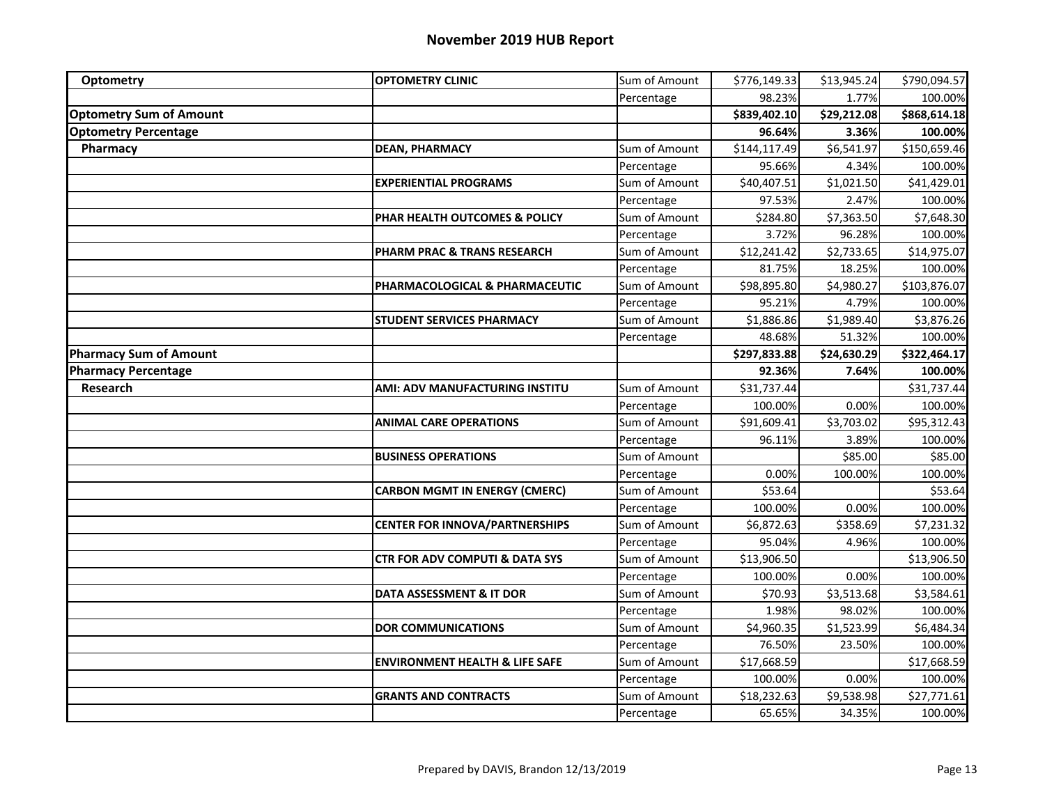| Optometry                      | <b>OPTOMETRY CLINIC</b>                   | Sum of Amount | \$776,149.33 | \$13,945.24 | \$790,094.57 |
|--------------------------------|-------------------------------------------|---------------|--------------|-------------|--------------|
|                                |                                           | Percentage    | 98.23%       | 1.77%       | 100.00%      |
| <b>Optometry Sum of Amount</b> |                                           |               | \$839,402.10 | \$29,212.08 | \$868,614.18 |
| <b>Optometry Percentage</b>    |                                           |               | 96.64%       | 3.36%       | 100.00%      |
| Pharmacy                       | <b>DEAN, PHARMACY</b>                     | Sum of Amount | \$144,117.49 | \$6,541.97  | \$150,659.46 |
|                                |                                           | Percentage    | 95.66%       | 4.34%       | 100.00%      |
|                                | <b>EXPERIENTIAL PROGRAMS</b>              | Sum of Amount | \$40,407.51  | \$1,021.50  | \$41,429.01  |
|                                |                                           | Percentage    | 97.53%       | 2.47%       | 100.00%      |
|                                | PHAR HEALTH OUTCOMES & POLICY             | Sum of Amount | \$284.80     | \$7,363.50  | \$7,648.30   |
|                                |                                           | Percentage    | 3.72%        | 96.28%      | 100.00%      |
|                                | PHARM PRAC & TRANS RESEARCH               | Sum of Amount | \$12,241.42  | \$2,733.65  | \$14,975.07  |
|                                |                                           | Percentage    | 81.75%       | 18.25%      | 100.00%      |
|                                | PHARMACOLOGICAL & PHARMACEUTIC            | Sum of Amount | \$98,895.80  | \$4,980.27  | \$103,876.07 |
|                                |                                           | Percentage    | 95.21%       | 4.79%       | 100.00%      |
|                                | <b>STUDENT SERVICES PHARMACY</b>          | Sum of Amount | \$1,886.86   | \$1,989.40  | \$3,876.26   |
|                                |                                           | Percentage    | 48.68%       | 51.32%      | 100.00%      |
| <b>Pharmacy Sum of Amount</b>  |                                           |               | \$297,833.88 | \$24,630.29 | \$322,464.17 |
| <b>Pharmacy Percentage</b>     |                                           |               | 92.36%       | 7.64%       | 100.00%      |
| <b>Research</b>                | AMI: ADV MANUFACTURING INSTITU            | Sum of Amount | \$31,737.44  |             | \$31,737.44  |
|                                |                                           | Percentage    | 100.00%      | 0.00%       | 100.00%      |
|                                | <b>ANIMAL CARE OPERATIONS</b>             | Sum of Amount | \$91,609.41  | \$3,703.02  | \$95,312.43  |
|                                |                                           | Percentage    | 96.11%       | 3.89%       | 100.00%      |
|                                | <b>BUSINESS OPERATIONS</b>                | Sum of Amount |              | \$85.00     | \$85.00      |
|                                |                                           | Percentage    | 0.00%        | 100.00%     | 100.00%      |
|                                | CARBON MGMT IN ENERGY (CMERC)             | Sum of Amount | \$53.64      |             | \$53.64      |
|                                |                                           | Percentage    | 100.00%      | 0.00%       | 100.00%      |
|                                | <b>CENTER FOR INNOVA/PARTNERSHIPS</b>     | Sum of Amount | \$6,872.63   | \$358.69    | \$7,231.32   |
|                                |                                           | Percentage    | 95.04%       | 4.96%       | 100.00%      |
|                                | <b>CTR FOR ADV COMPUTI &amp; DATA SYS</b> | Sum of Amount | \$13,906.50  |             | \$13,906.50  |
|                                |                                           | Percentage    | 100.00%      | 0.00%       | 100.00%      |
|                                | DATA ASSESSMENT & IT DOR                  | Sum of Amount | \$70.93      | \$3,513.68  | \$3,584.61   |
|                                |                                           | Percentage    | 1.98%        | 98.02%      | 100.00%      |
|                                | <b>DOR COMMUNICATIONS</b>                 | Sum of Amount | \$4,960.35   | \$1,523.99  | \$6,484.34   |
|                                |                                           | Percentage    | 76.50%       | 23.50%      | 100.00%      |
|                                | <b>ENVIRONMENT HEALTH &amp; LIFE SAFE</b> | Sum of Amount | \$17,668.59  |             | \$17,668.59  |
|                                |                                           | Percentage    | 100.00%      | 0.00%       | 100.00%      |
|                                | <b>GRANTS AND CONTRACTS</b>               | Sum of Amount | \$18,232.63  | \$9,538.98  | \$27,771.61  |
|                                |                                           | Percentage    | 65.65%       | 34.35%      | 100.00%      |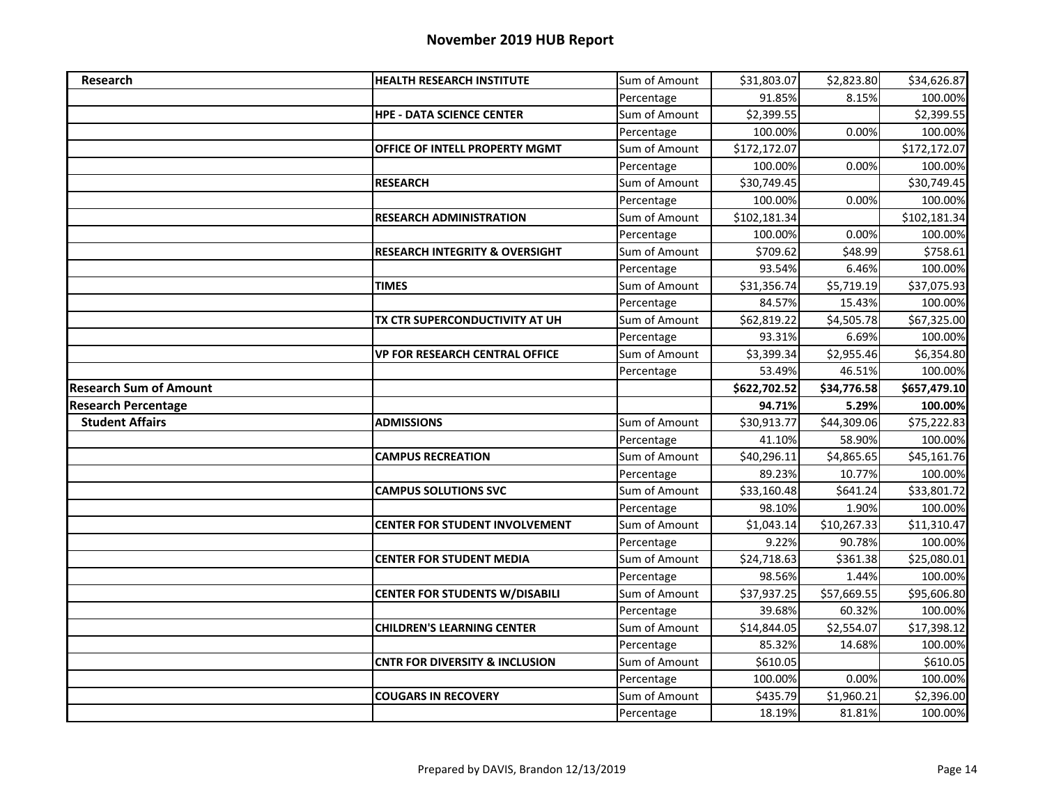| Research                      | <b>HEALTH RESEARCH INSTITUTE</b>          | Sum of Amount               | \$31,803.07        | \$2,823.80           | \$34,626.87           |
|-------------------------------|-------------------------------------------|-----------------------------|--------------------|----------------------|-----------------------|
|                               |                                           | Percentage                  | 91.85%             | 8.15%                | 100.00%               |
|                               | <b>HPE - DATA SCIENCE CENTER</b>          | Sum of Amount               | \$2,399.55         |                      | \$2,399.55            |
|                               |                                           | Percentage                  | 100.00%            | 0.00%                | 100.00%               |
|                               | OFFICE OF INTELL PROPERTY MGMT            | Sum of Amount               | \$172,172.07       |                      | \$172,172.07          |
|                               |                                           | Percentage                  | 100.00%            | 0.00%                | 100.00%               |
|                               | <b>RESEARCH</b>                           | Sum of Amount               | \$30,749.45        |                      | \$30,749.45           |
|                               |                                           | Percentage                  | 100.00%            | 0.00%                | 100.00%               |
|                               | <b>RESEARCH ADMINISTRATION</b>            | Sum of Amount               | \$102,181.34       |                      | \$102,181.34          |
|                               |                                           | Percentage                  | 100.00%            | 0.00%                | 100.00%               |
|                               | <b>RESEARCH INTEGRITY &amp; OVERSIGHT</b> | Sum of Amount               | \$709.62           | \$48.99              | \$758.61              |
|                               |                                           | Percentage                  | 93.54%             | 6.46%                | 100.00%               |
|                               | <b>TIMES</b>                              | Sum of Amount               | \$31,356.74        | \$5,719.19           | \$37,075.93           |
|                               |                                           | Percentage                  | 84.57%             | 15.43%               | 100.00%               |
|                               | TX CTR SUPERCONDUCTIVITY AT UH            | Sum of Amount               | \$62,819.22        | \$4,505.78           | \$67,325.00           |
|                               |                                           | Percentage                  | 93.31%             | 6.69%                | 100.00%               |
|                               | <b>VP FOR RESEARCH CENTRAL OFFICE</b>     | Sum of Amount               | \$3,399.34         | \$2,955.46           | \$6,354.80            |
|                               |                                           | Percentage                  | 53.49%             | 46.51%               | 100.00%               |
| <b>Research Sum of Amount</b> |                                           |                             | \$622,702.52       | \$34,776.58          | \$657,479.10          |
|                               |                                           |                             |                    |                      |                       |
| <b>Research Percentage</b>    |                                           |                             | 94.71%             | 5.29%                | 100.00%               |
| <b>Student Affairs</b>        | <b>ADMISSIONS</b>                         | Sum of Amount               | \$30,913.77        | \$44,309.06          | \$75,222.83           |
|                               |                                           | Percentage                  | 41.10%             | 58.90%               | 100.00%               |
|                               | <b>CAMPUS RECREATION</b>                  | Sum of Amount               | \$40,296.11        | \$4,865.65           | \$45,161.76           |
|                               |                                           | Percentage                  | 89.23%             | 10.77%               | 100.00%               |
|                               | <b>CAMPUS SOLUTIONS SVC</b>               | Sum of Amount               | \$33,160.48        | \$641.24             | \$33,801.72           |
|                               |                                           | Percentage                  | 98.10%             | 1.90%                | 100.00%               |
|                               | <b>CENTER FOR STUDENT INVOLVEMENT</b>     | Sum of Amount               | \$1,043.14         | \$10,267.33          | \$11,310.47           |
|                               |                                           | Percentage                  | 9.22%              | 90.78%               | 100.00%               |
|                               | <b>CENTER FOR STUDENT MEDIA</b>           | Sum of Amount               | \$24,718.63        | \$361.38             | \$25,080.01           |
|                               |                                           | Percentage                  | 98.56%             | 1.44%                | 100.00%               |
|                               | <b>CENTER FOR STUDENTS W/DISABILI</b>     | Sum of Amount               | \$37,937.25        | \$57,669.55          | \$95,606.80           |
|                               |                                           | Percentage                  | 39.68%             | 60.32%               | 100.00%               |
|                               | <b>CHILDREN'S LEARNING CENTER</b>         | Sum of Amount               | \$14,844.05        | \$2,554.07           | \$17,398.12           |
|                               |                                           | Percentage                  | 85.32%             | 14.68%               | 100.00%               |
|                               | <b>CNTR FOR DIVERSITY &amp; INCLUSION</b> | Sum of Amount               | \$610.05           |                      | \$610.05              |
|                               |                                           | Percentage                  | 100.00%            | 0.00%                | 100.00%               |
|                               | <b>COUGARS IN RECOVERY</b>                | Sum of Amount<br>Percentage | \$435.79<br>18.19% | \$1,960.21<br>81.81% | \$2,396.00<br>100.00% |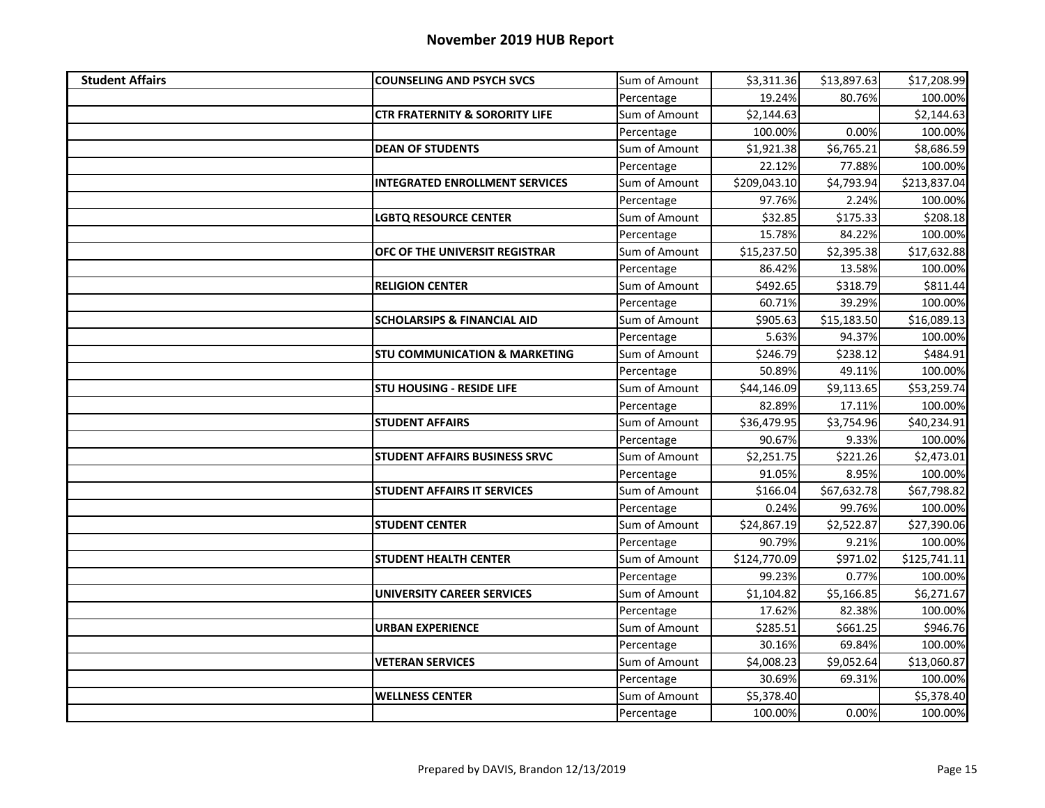| <b>Student Affairs</b> | <b>COUNSELING AND PSYCH SVCS</b>          | Sum of Amount | \$3,311.36   | \$13,897.63 | \$17,208.99  |
|------------------------|-------------------------------------------|---------------|--------------|-------------|--------------|
|                        |                                           | Percentage    | 19.24%       | 80.76%      | 100.00%      |
|                        | <b>CTR FRATERNITY &amp; SORORITY LIFE</b> | Sum of Amount | \$2,144.63   |             | \$2,144.63   |
|                        |                                           | Percentage    | 100.00%      | 0.00%       | 100.00%      |
|                        | <b>DEAN OF STUDENTS</b>                   | Sum of Amount | \$1,921.38   | \$6,765.21  | \$8,686.59   |
|                        |                                           | Percentage    | 22.12%       | 77.88%      | 100.00%      |
|                        | <b>INTEGRATED ENROLLMENT SERVICES</b>     | Sum of Amount | \$209,043.10 | \$4,793.94  | \$213,837.04 |
|                        |                                           | Percentage    | 97.76%       | 2.24%       | 100.00%      |
|                        | <b>LGBTQ RESOURCE CENTER</b>              | Sum of Amount | \$32.85      | \$175.33    | \$208.18     |
|                        |                                           | Percentage    | 15.78%       | 84.22%      | 100.00%      |
|                        | <b>OFC OF THE UNIVERSIT REGISTRAR</b>     | Sum of Amount | \$15,237.50  | \$2,395.38  | \$17,632.88  |
|                        |                                           | Percentage    | 86.42%       | 13.58%      | 100.00%      |
|                        | <b>RELIGION CENTER</b>                    | Sum of Amount | \$492.65     | \$318.79    | \$811.44     |
|                        |                                           | Percentage    | 60.71%       | 39.29%      | 100.00%      |
|                        | <b>SCHOLARSIPS &amp; FINANCIAL AID</b>    | Sum of Amount | \$905.63     | \$15,183.50 | \$16,089.13  |
|                        |                                           | Percentage    | 5.63%        | 94.37%      | 100.00%      |
|                        | <b>STU COMMUNICATION &amp; MARKETING</b>  | Sum of Amount | \$246.79     | \$238.12    | \$484.91     |
|                        |                                           | Percentage    | 50.89%       | 49.11%      | 100.00%      |
|                        | <b>STU HOUSING - RESIDE LIFE</b>          | Sum of Amount | \$44,146.09  | \$9,113.65  | \$53,259.74  |
|                        |                                           | Percentage    | 82.89%       | 17.11%      | 100.00%      |
|                        | <b>STUDENT AFFAIRS</b>                    | Sum of Amount | \$36,479.95  | \$3,754.96  | \$40,234.91  |
|                        |                                           | Percentage    | 90.67%       | 9.33%       | 100.00%      |
|                        | <b>STUDENT AFFAIRS BUSINESS SRVC</b>      | Sum of Amount | \$2,251.75   | \$221.26    | \$2,473.01   |
|                        |                                           | Percentage    | 91.05%       | 8.95%       | 100.00%      |
|                        | <b>STUDENT AFFAIRS IT SERVICES</b>        | Sum of Amount | \$166.04     | \$67,632.78 | \$67,798.82  |
|                        |                                           | Percentage    | 0.24%        | 99.76%      | 100.00%      |
|                        | <b>STUDENT CENTER</b>                     | Sum of Amount | \$24,867.19  | \$2,522.87  | \$27,390.06  |
|                        |                                           | Percentage    | 90.79%       | 9.21%       | 100.00%      |
|                        | <b>STUDENT HEALTH CENTER</b>              | Sum of Amount | \$124,770.09 | \$971.02    | \$125,741.11 |
|                        |                                           | Percentage    | 99.23%       | 0.77%       | 100.00%      |
|                        | UNIVERSITY CAREER SERVICES                | Sum of Amount | \$1,104.82   | \$5,166.85  | \$6,271.67   |
|                        |                                           | Percentage    | 17.62%       | 82.38%      | 100.00%      |
|                        | <b>URBAN EXPERIENCE</b>                   | Sum of Amount | \$285.51     | \$661.25    | \$946.76     |
|                        |                                           | Percentage    | 30.16%       | 69.84%      | 100.00%      |
|                        | <b>VETERAN SERVICES</b>                   | Sum of Amount | \$4,008.23   | \$9,052.64  | \$13,060.87  |
|                        |                                           | Percentage    | 30.69%       | 69.31%      | 100.00%      |
|                        | <b>WELLNESS CENTER</b>                    | Sum of Amount | \$5,378.40   |             | \$5,378.40   |
|                        |                                           | Percentage    | 100.00%      | 0.00%       | 100.00%      |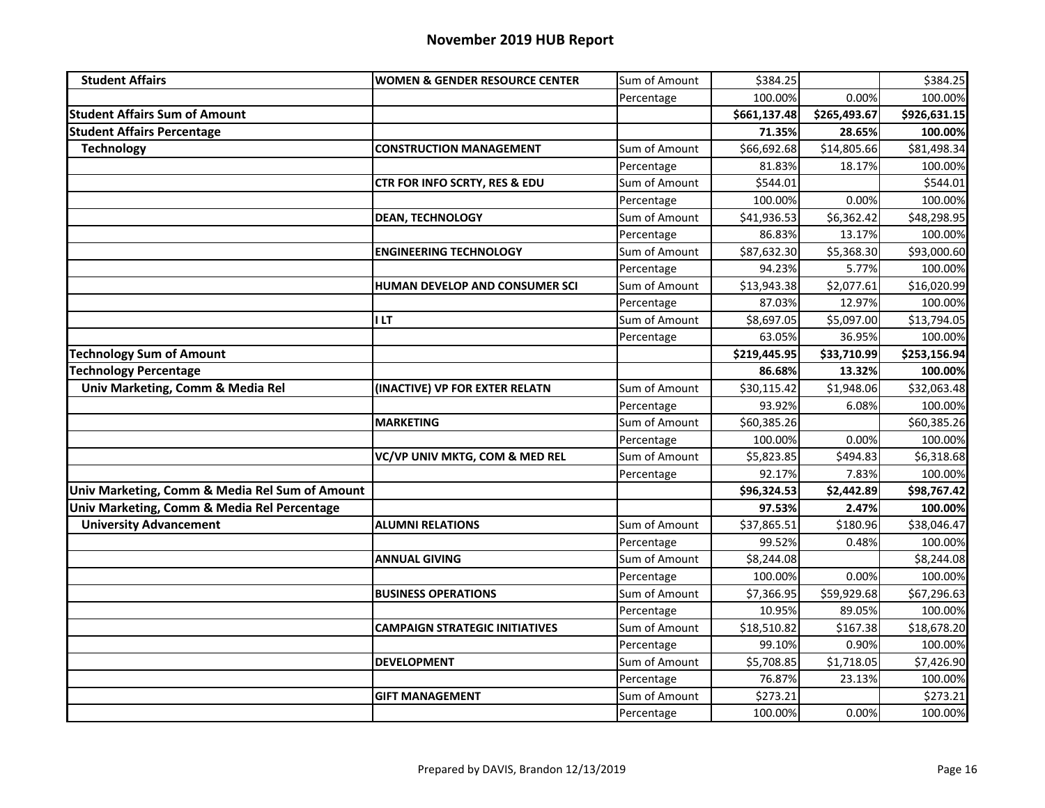| <b>Student Affairs</b>                         | <b>WOMEN &amp; GENDER RESOURCE CENTER</b> | Sum of Amount | \$384.25     |              | \$384.25     |
|------------------------------------------------|-------------------------------------------|---------------|--------------|--------------|--------------|
|                                                |                                           | Percentage    | 100.00%      | 0.00%        | 100.00%      |
| <b>Student Affairs Sum of Amount</b>           |                                           |               | \$661,137.48 | \$265,493.67 | \$926,631.15 |
| <b>Student Affairs Percentage</b>              |                                           |               | 71.35%       | 28.65%       | 100.00%      |
| <b>Technology</b>                              | <b>CONSTRUCTION MANAGEMENT</b>            | Sum of Amount | \$66,692.68  | \$14,805.66  | \$81,498.34  |
|                                                |                                           | Percentage    | 81.83%       | 18.17%       | 100.00%      |
|                                                | CTR FOR INFO SCRTY, RES & EDU             | Sum of Amount | \$544.01     |              | \$544.01     |
|                                                |                                           | Percentage    | 100.00%      | 0.00%        | 100.00%      |
|                                                | <b>DEAN, TECHNOLOGY</b>                   | Sum of Amount | \$41,936.53  | \$6,362.42   | \$48,298.95  |
|                                                |                                           | Percentage    | 86.83%       | 13.17%       | 100.00%      |
|                                                | <b>ENGINEERING TECHNOLOGY</b>             | Sum of Amount | \$87,632.30  | \$5,368.30   | \$93,000.60  |
|                                                |                                           | Percentage    | 94.23%       | 5.77%        | 100.00%      |
|                                                | HUMAN DEVELOP AND CONSUMER SCI            | Sum of Amount | \$13,943.38  | \$2,077.61   | \$16,020.99  |
|                                                |                                           | Percentage    | 87.03%       | 12.97%       | 100.00%      |
|                                                | <b>ILT</b>                                | Sum of Amount | \$8,697.05   | \$5,097.00   | \$13,794.05  |
|                                                |                                           | Percentage    | 63.05%       | 36.95%       | 100.00%      |
| <b>Technology Sum of Amount</b>                |                                           |               | \$219,445.95 | \$33,710.99  | \$253,156.94 |
| <b>Technology Percentage</b>                   |                                           |               | 86.68%       | 13.32%       | 100.00%      |
| Univ Marketing, Comm & Media Rel               | (INACTIVE) VP FOR EXTER RELATN            | Sum of Amount | \$30,115.42  | \$1,948.06   | \$32,063.48  |
|                                                |                                           | Percentage    | 93.92%       | 6.08%        | 100.00%      |
|                                                | <b>MARKETING</b>                          | Sum of Amount | \$60,385.26  |              | \$60,385.26  |
|                                                |                                           | Percentage    | 100.00%      | 0.00%        | 100.00%      |
|                                                | VC/VP UNIV MKTG, COM & MED REL            | Sum of Amount | \$5,823.85   | \$494.83     | \$6,318.68   |
|                                                |                                           | Percentage    | 92.17%       | 7.83%        | 100.00%      |
| Univ Marketing, Comm & Media Rel Sum of Amount |                                           |               | \$96,324.53  | \$2,442.89   | \$98,767.42  |
| Univ Marketing, Comm & Media Rel Percentage    |                                           |               | 97.53%       | 2.47%        | 100.00%      |
| <b>University Advancement</b>                  | <b>ALUMNI RELATIONS</b>                   | Sum of Amount | \$37,865.51  | \$180.96     | \$38,046.47  |
|                                                |                                           | Percentage    | 99.52%       | 0.48%        | 100.00%      |
|                                                | <b>ANNUAL GIVING</b>                      | Sum of Amount | \$8,244.08   |              | \$8,244.08   |
|                                                |                                           | Percentage    | 100.00%      | 0.00%        | 100.00%      |
|                                                | <b>BUSINESS OPERATIONS</b>                | Sum of Amount | \$7,366.95   | \$59,929.68  | \$67,296.63  |
|                                                |                                           | Percentage    | 10.95%       | 89.05%       | 100.00%      |
|                                                | <b>CAMPAIGN STRATEGIC INITIATIVES</b>     | Sum of Amount | \$18,510.82  | \$167.38     | \$18,678.20  |
|                                                |                                           | Percentage    | 99.10%       | 0.90%        | 100.00%      |
|                                                | <b>DEVELOPMENT</b>                        | Sum of Amount | \$5,708.85   | \$1,718.05   | \$7,426.90   |
|                                                |                                           | Percentage    | 76.87%       | 23.13%       | 100.00%      |
|                                                | <b>GIFT MANAGEMENT</b>                    | Sum of Amount | \$273.21     |              | \$273.21     |
|                                                |                                           | Percentage    | 100.00%      | 0.00%        | 100.00%      |